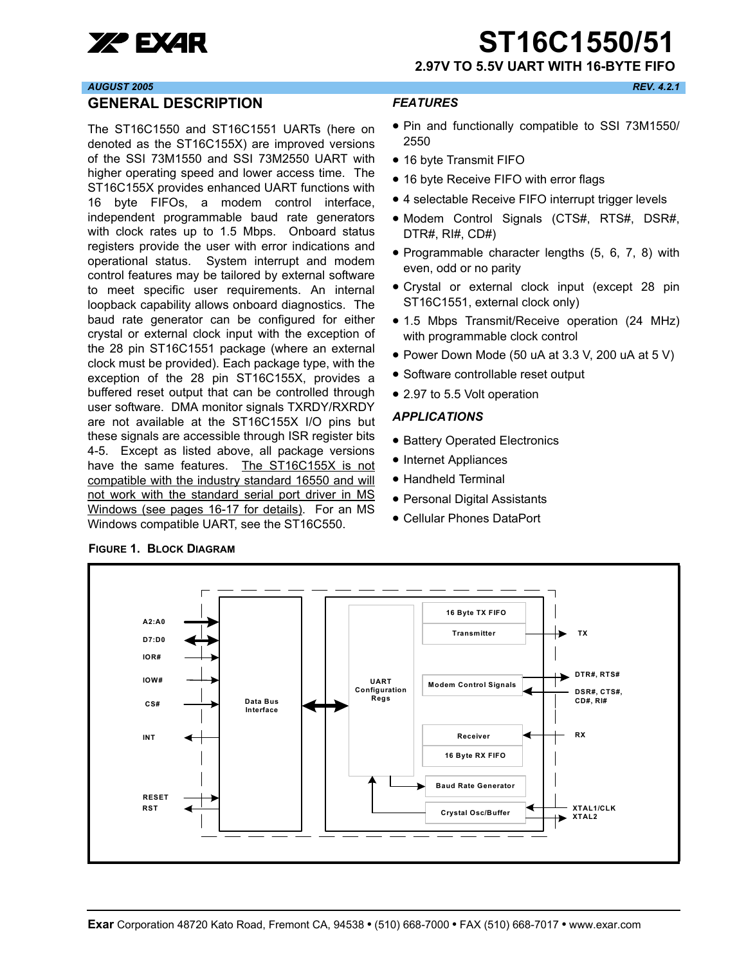

**XP EXAR ST16C1550/51** 

**2.97V TO 5.5V UART WITH 16-BYTE FIFO**

#### *AUGUST 2005 REV. 4.2.1*

#### <span id="page-0-0"></span>**GENERAL DESCRIPTION**

The ST16C1550 and ST16C1551 UARTs (here on denoted as the ST16C155X) are improved versions of the SSI 73M1550 and SSI 73M2550 UART with higher operating speed and lower access time. The ST16C155X provides enhanced UART functions with 16 byte FIFOs, a modem control interface, independent programmable baud rate generators with clock rates up to 1.5 Mbps. Onboard status registers provide the user with error indications and operational status. System interrupt and modem control features may be tailored by external software to meet specific user requirements. An internal loopback capability allows onboard diagnostics. The baud rate generator can be configured for either crystal or external clock input with the exception of the 28 pin ST16C1551 package (where an external clock must be provided). Each package type, with the exception of the 28 pin ST16C155X, provides a buffered reset output that can be controlled through user software. DMA monitor signals TXRDY/RXRDY are not available at the ST16C155X I/O pins but these signals are accessible through ISR register bits 4-5. Except as listed above, all package versions have the same features. The ST16C155X is not compatible with the industry standard 16550 and will not work with the standard serial port driver in MS Windows (see pages 16-17 for details). For an MS Windows compatible UART, see the ST16C550.

#### <span id="page-0-1"></span>*FEATURES*

- Pin and functionally compatible to SSI 73M1550/ 2550
- 16 byte Transmit FIFO
- 16 byte Receive FIFO with error flags
- 4 selectable Receive FIFO interrupt trigger levels
- Modem Control Signals (CTS#, RTS#, DSR#, DTR#, RI#, CD#)
- Programmable character lengths (5, 6, 7, 8) with even, odd or no parity
- Crystal or external clock input (except 28 pin ST16C1551, external clock only)
- 1.5 Mbps Transmit/Receive operation (24 MHz) with programmable clock control
- Power Down Mode (50 uA at 3.3 V, 200 uA at 5 V)
- Software controllable reset output
- 2.97 to 5.5 Volt operation

#### <span id="page-0-2"></span>*APPLICATIONS*

- Battery Operated Electronics
- Internet Appliances
- Handheld Terminal
- Personal Digital Assistants
- Cellular Phones DataPort



<span id="page-0-3"></span>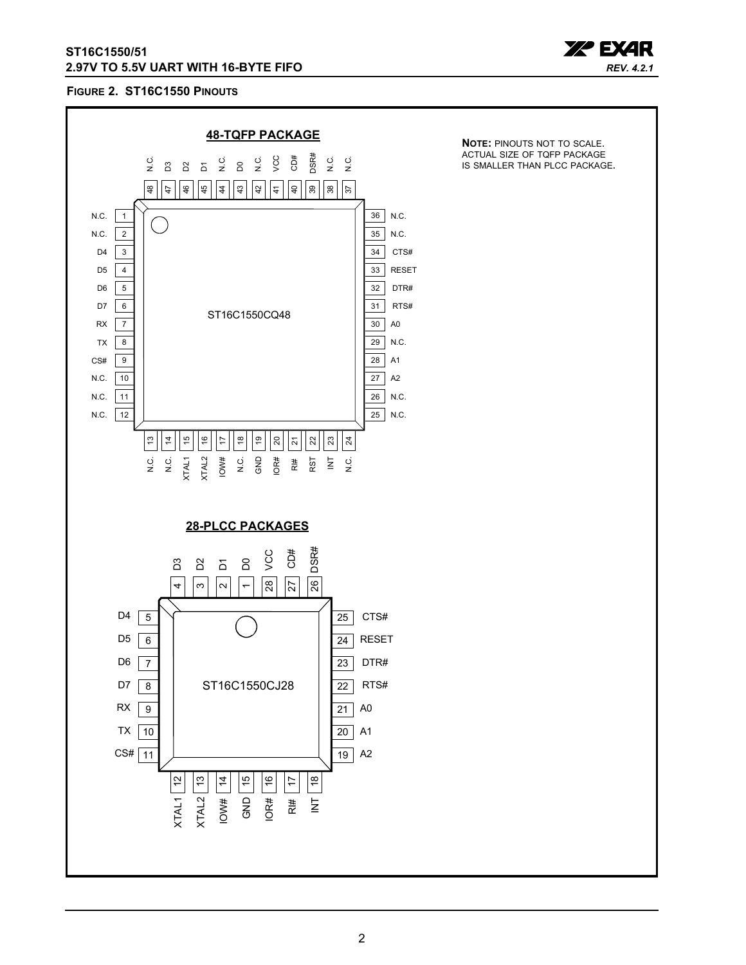

## <span id="page-1-0"></span>**FIGURE 2. ST16C1550 PINOUTS**

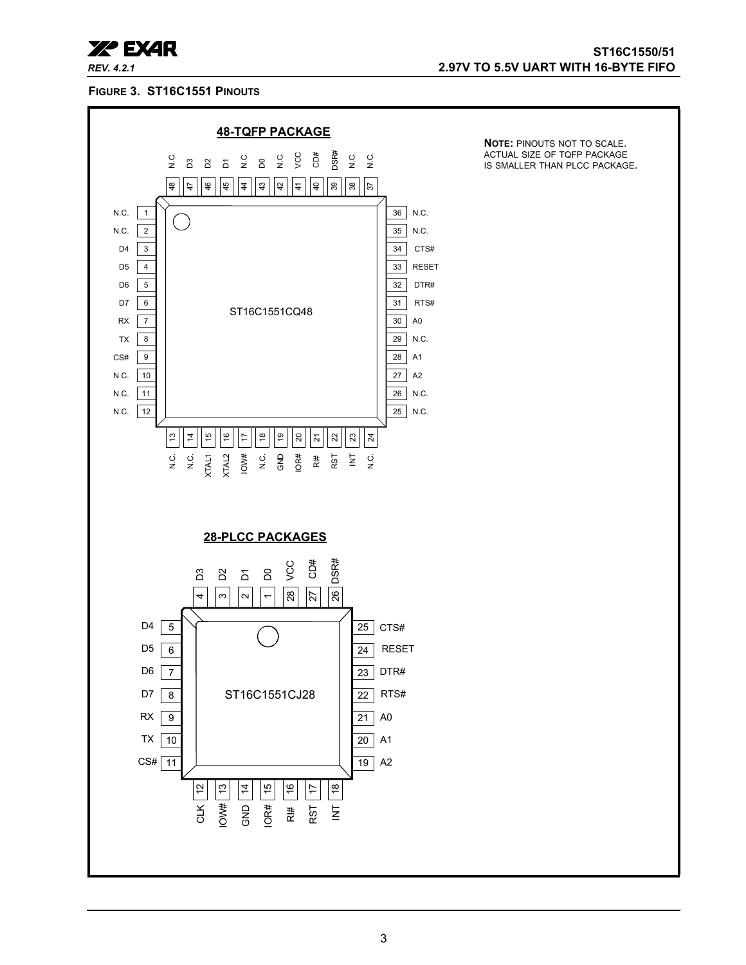

#### <span id="page-2-0"></span>**FIGURE 3. ST16C1551 PINOUTS**

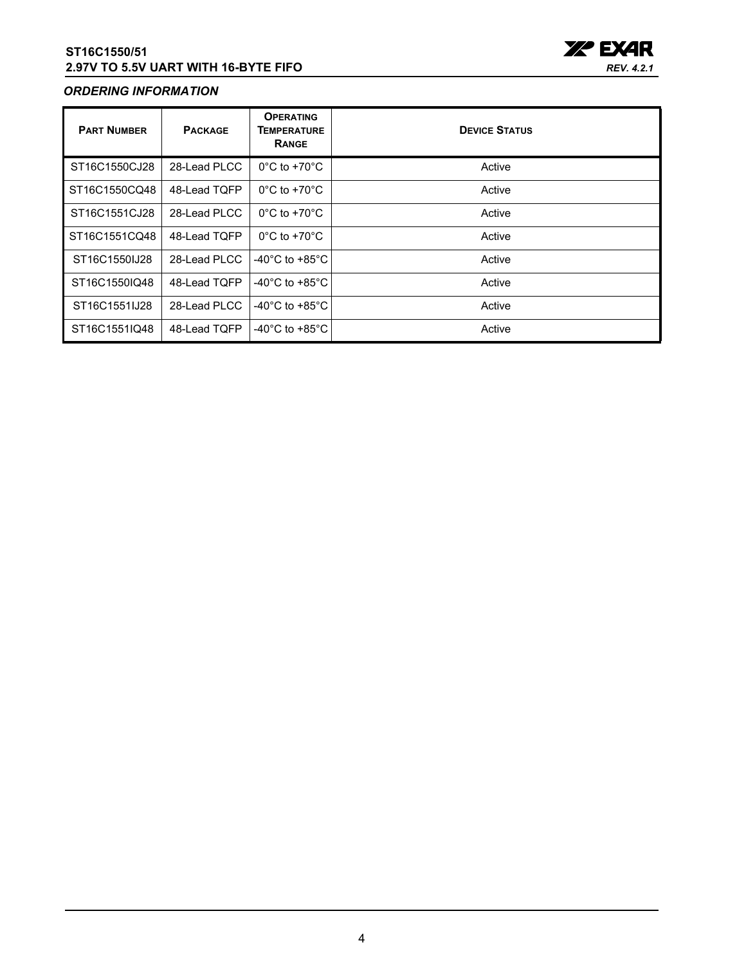

## <span id="page-3-0"></span>*ORDERING INFORMATION*

| <b>PART NUMBER</b> | <b>PACKAGE</b> | <b>OPERATING</b><br><b>TEMPERATURE</b><br><b>RANGE</b> | <b>DEVICE STATUS</b> |
|--------------------|----------------|--------------------------------------------------------|----------------------|
| ST16C1550CJ28      | 28-Lead PLCC   | $0^{\circ}$ C to +70 $^{\circ}$ C                      | Active               |
| ST16C1550CQ48      | 48-Lead TQFP   | $0^{\circ}$ C to +70 $^{\circ}$ C                      | Active               |
| ST16C1551CJ28      | 28-Lead PLCC   | $0^{\circ}$ C to +70 $^{\circ}$ C                      | Active               |
| ST16C1551CQ48      | 48-Lead TQFP   | $0^{\circ}$ C to +70 $^{\circ}$ C                      | Active               |
| ST16C1550IJ28      | 28-Lead PLCC   | -40 $^{\circ}$ C to +85 $^{\circ}$ C                   | Active               |
| ST16C1550IQ48      | 48-Lead TOFP   | -40 $^{\circ}$ C to +85 $^{\circ}$ C                   | Active               |
| ST16C1551IJ28      | 28-Lead PLCC   | -40 $^{\circ}$ C to +85 $^{\circ}$ C                   | Active               |
| ST16C1551IQ48      | 48-Lead TQFP   | -40 $^{\circ}$ C to +85 $^{\circ}$ C                   | Active               |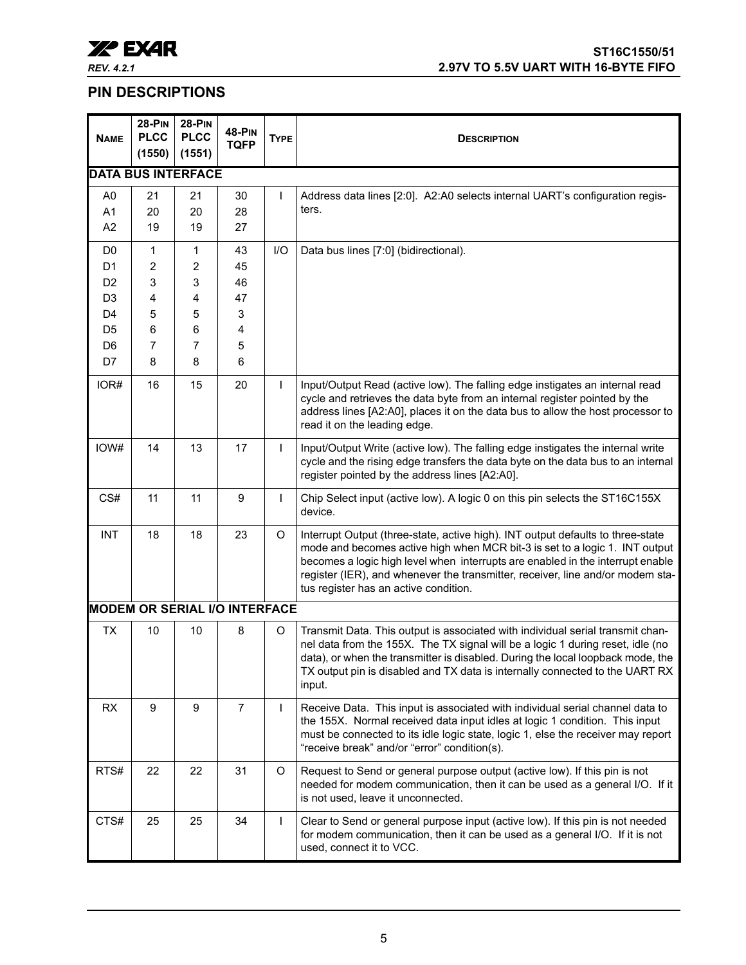

# <span id="page-4-0"></span>**PIN DESCRIPTIONS**

<span id="page-4-2"></span><span id="page-4-1"></span>

| <b>NAME</b>    | <b>28-PIN</b><br><b>PLCC</b><br>(1550) | <b>28-PIN</b><br><b>PLCC</b><br>(1551) | <b>48-PIN</b><br><b>TQFP</b>         | <b>TYPE</b>    | <b>DESCRIPTION</b>                                                                                                                                                                                                                                                                                                                                                          |
|----------------|----------------------------------------|----------------------------------------|--------------------------------------|----------------|-----------------------------------------------------------------------------------------------------------------------------------------------------------------------------------------------------------------------------------------------------------------------------------------------------------------------------------------------------------------------------|
|                |                                        | <b>DATA BUS INTERFACE</b>              |                                      |                |                                                                                                                                                                                                                                                                                                                                                                             |
| A <sub>0</sub> | 21                                     | 21                                     | 30                                   | I              | Address data lines [2:0]. A2:A0 selects internal UART's configuration regis-                                                                                                                                                                                                                                                                                                |
| A1             | 20                                     | 20                                     | 28                                   |                | ters.                                                                                                                                                                                                                                                                                                                                                                       |
| A2             | 19                                     | 19                                     | 27                                   |                |                                                                                                                                                                                                                                                                                                                                                                             |
| D <sub>0</sub> | 1                                      | 1                                      | 43                                   | I/O            | Data bus lines [7:0] (bidirectional).                                                                                                                                                                                                                                                                                                                                       |
| D <sub>1</sub> | 2                                      | 2                                      | 45                                   |                |                                                                                                                                                                                                                                                                                                                                                                             |
| D <sub>2</sub> | 3                                      | 3                                      | 46                                   |                |                                                                                                                                                                                                                                                                                                                                                                             |
| D <sub>3</sub> | 4                                      | 4                                      | 47                                   |                |                                                                                                                                                                                                                                                                                                                                                                             |
| D <sub>4</sub> | 5                                      | 5                                      | 3                                    |                |                                                                                                                                                                                                                                                                                                                                                                             |
| D <sub>5</sub> | 6                                      | 6                                      | 4                                    |                |                                                                                                                                                                                                                                                                                                                                                                             |
| D <sub>6</sub> | 7                                      | 7                                      | 5                                    |                |                                                                                                                                                                                                                                                                                                                                                                             |
| D7             | 8                                      | 8                                      | 6                                    |                |                                                                                                                                                                                                                                                                                                                                                                             |
| IOR#           | 16                                     | 15                                     | 20                                   | $\overline{1}$ | Input/Output Read (active low). The falling edge instigates an internal read<br>cycle and retrieves the data byte from an internal register pointed by the<br>address lines [A2:A0], places it on the data bus to allow the host processor to<br>read it on the leading edge.                                                                                               |
| IOW#           | 14                                     | 13                                     | 17                                   | $\mathsf{l}$   | Input/Output Write (active low). The falling edge instigates the internal write<br>cycle and the rising edge transfers the data byte on the data bus to an internal<br>register pointed by the address lines [A2:A0].                                                                                                                                                       |
| CS#            | 11                                     | 11                                     | 9                                    | $\mathsf{I}$   | Chip Select input (active low). A logic 0 on this pin selects the ST16C155X<br>device.                                                                                                                                                                                                                                                                                      |
| <b>INT</b>     | 18                                     | 18                                     | 23                                   | O              | Interrupt Output (three-state, active high). INT output defaults to three-state<br>mode and becomes active high when MCR bit-3 is set to a logic 1. INT output<br>becomes a logic high level when interrupts are enabled in the interrupt enable<br>register (IER), and whenever the transmitter, receiver, line and/or modem sta-<br>tus register has an active condition. |
|                |                                        |                                        | <b>MODEM OR SERIAL I/O INTERFACE</b> |                |                                                                                                                                                                                                                                                                                                                                                                             |
| <b>TX</b>      | 10                                     | 10                                     | 8                                    | O              | Transmit Data. This output is associated with individual serial transmit chan-<br>nel data from the 155X. The TX signal will be a logic 1 during reset, idle (no<br>data), or when the transmitter is disabled. During the local loopback mode, the<br>TX output pin is disabled and TX data is internally connected to the UART RX<br>input.                               |
| <b>RX</b>      | 9                                      | 9                                      | 7                                    | I              | Receive Data. This input is associated with individual serial channel data to<br>the 155X. Normal received data input idles at logic 1 condition. This input<br>must be connected to its idle logic state, logic 1, else the receiver may report<br>"receive break" and/or "error" condition(s).                                                                            |
| RTS#           | 22                                     | 22                                     | 31                                   | O              | Request to Send or general purpose output (active low). If this pin is not<br>needed for modem communication, then it can be used as a general I/O. If it<br>is not used, leave it unconnected.                                                                                                                                                                             |
| CTS#           | 25                                     | 25                                     | 34                                   | $\mathsf{l}$   | Clear to Send or general purpose input (active low). If this pin is not needed<br>for modem communication, then it can be used as a general I/O. If it is not<br>used, connect it to VCC.                                                                                                                                                                                   |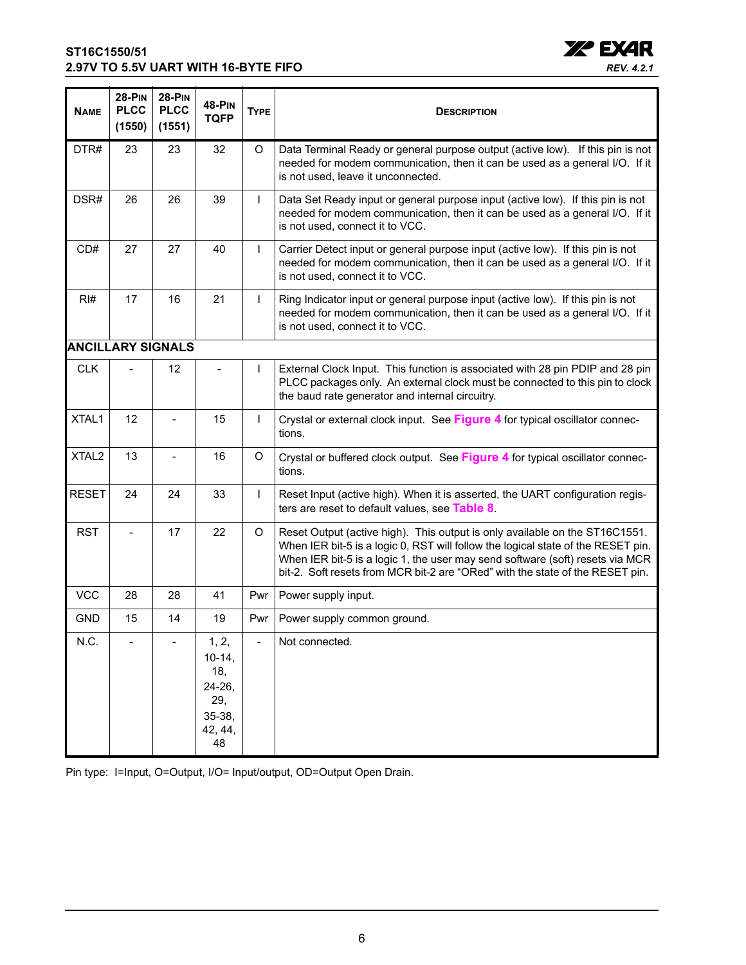

<span id="page-5-0"></span>

| <b>NAME</b>       | <b>28-PIN</b><br><b>PLCC</b><br>(1550) | <b>28-PIN</b><br><b>PLCC</b><br>(1551) | <b>48-PIN</b><br><b>TQFP</b>                                         | <b>TYPE</b>  | <b>DESCRIPTION</b>                                                                                                                                                                                                                                                                                                                |
|-------------------|----------------------------------------|----------------------------------------|----------------------------------------------------------------------|--------------|-----------------------------------------------------------------------------------------------------------------------------------------------------------------------------------------------------------------------------------------------------------------------------------------------------------------------------------|
| DTR#              | 23                                     | 23                                     | 32                                                                   | O            | Data Terminal Ready or general purpose output (active low). If this pin is not<br>needed for modem communication, then it can be used as a general I/O. If it<br>is not used, leave it unconnected.                                                                                                                               |
| DSR#              | 26                                     | 26                                     | 39                                                                   | $\mathsf{L}$ | Data Set Ready input or general purpose input (active low). If this pin is not<br>needed for modem communication, then it can be used as a general I/O. If it<br>is not used, connect it to VCC.                                                                                                                                  |
| CD#               | 27                                     | 27                                     | 40                                                                   | $\mathbf{I}$ | Carrier Detect input or general purpose input (active low). If this pin is not<br>needed for modem communication, then it can be used as a general I/O. If it<br>is not used, connect it to VCC.                                                                                                                                  |
| RI#               | 17                                     | 16                                     | 21                                                                   | $\mathbf{I}$ | Ring Indicator input or general purpose input (active low). If this pin is not<br>needed for modem communication, then it can be used as a general I/O. If it<br>is not used, connect it to VCC.                                                                                                                                  |
|                   |                                        | <b>ANCILLARY SIGNALS</b>               |                                                                      |              |                                                                                                                                                                                                                                                                                                                                   |
| <b>CLK</b>        |                                        | 12                                     | $\blacksquare$                                                       | $\mathbf{I}$ | External Clock Input. This function is associated with 28 pin PDIP and 28 pin<br>PLCC packages only. An external clock must be connected to this pin to clock<br>the baud rate generator and internal circuitry.                                                                                                                  |
| XTAL1             | 12                                     | $\overline{\phantom{0}}$               | 15                                                                   | $\mathsf{L}$ | Crystal or external clock input. See Figure 4 for typical oscillator connec-<br>tions.                                                                                                                                                                                                                                            |
| XTAL <sub>2</sub> | 13                                     | $\overline{a}$                         | 16                                                                   | O            | Crystal or buffered clock output. See Figure 4 for typical oscillator connec-<br>tions.                                                                                                                                                                                                                                           |
| <b>RESET</b>      | 24                                     | 24                                     | 33                                                                   | $\mathsf{I}$ | Reset Input (active high). When it is asserted, the UART configuration regis-<br>ters are reset to default values, see Table 8.                                                                                                                                                                                                   |
| <b>RST</b>        |                                        | 17                                     | 22                                                                   | O            | Reset Output (active high). This output is only available on the ST16C1551.<br>When IER bit-5 is a logic 0, RST will follow the logical state of the RESET pin.<br>When IER bit-5 is a logic 1, the user may send software (soft) resets via MCR<br>bit-2. Soft resets from MCR bit-2 are "ORed" with the state of the RESET pin. |
| <b>VCC</b>        | 28                                     | 28                                     | 41                                                                   | Pwr          | Power supply input.                                                                                                                                                                                                                                                                                                               |
| <b>GND</b>        | 15                                     | 14                                     | 19                                                                   | Pwr          | Power supply common ground.                                                                                                                                                                                                                                                                                                       |
| N.C.              |                                        |                                        | 1, 2,<br>$10-14,$<br>18,<br>24-26,<br>29,<br>35-38,<br>42, 44,<br>48 |              | Not connected.                                                                                                                                                                                                                                                                                                                    |

Pin type: I=Input, O=Output, I/O= Input/output, OD=Output Open Drain.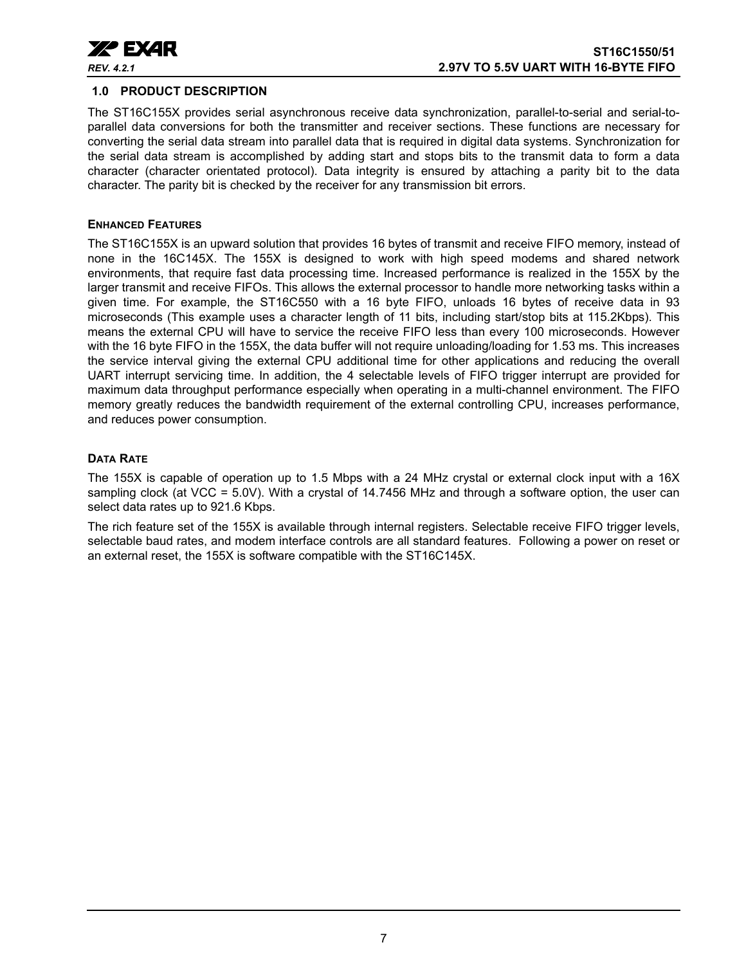

#### <span id="page-6-0"></span>**1.0 PRODUCT DESCRIPTION**

The ST16C155X provides serial asynchronous receive data synchronization, parallel-to-serial and serial-toparallel data conversions for both the transmitter and receiver sections. These functions are necessary for converting the serial data stream into parallel data that is required in digital data systems. Synchronization for the serial data stream is accomplished by adding start and stops bits to the transmit data to form a data character (character orientated protocol). Data integrity is ensured by attaching a parity bit to the data character. The parity bit is checked by the receiver for any transmission bit errors.

#### <span id="page-6-1"></span>**ENHANCED FEATURES**

The ST16C155X is an upward solution that provides 16 bytes of transmit and receive FIFO memory, instead of none in the 16C145X. The 155X is designed to work with high speed modems and shared network environments, that require fast data processing time. Increased performance is realized in the 155X by the larger transmit and receive FIFOs. This allows the external processor to handle more networking tasks within a given time. For example, the ST16C550 with a 16 byte FIFO, unloads 16 bytes of receive data in 93 microseconds (This example uses a character length of 11 bits, including start/stop bits at 115.2Kbps). This means the external CPU will have to service the receive FIFO less than every 100 microseconds. However with the 16 byte FIFO in the 155X, the data buffer will not require unloading/loading for 1.53 ms. This increases the service interval giving the external CPU additional time for other applications and reducing the overall UART interrupt servicing time. In addition, the 4 selectable levels of FIFO trigger interrupt are provided for maximum data throughput performance especially when operating in a multi-channel environment. The FIFO memory greatly reduces the bandwidth requirement of the external controlling CPU, increases performance, and reduces power consumption.

## <span id="page-6-3"></span><span id="page-6-2"></span>**DATA RATE**

The 155X is capable of operation up to 1.5 Mbps with a 24 MHz crystal or external clock input with a 16X sampling clock (at VCC = 5.0V). With a crystal of 14.7456 MHz and through a software option, the user can select data rates up to 921.6 Kbps.

The rich feature set of the 155X is available through internal registers. Selectable receive FIFO trigger levels, selectable baud rates, and modem interface controls are all standard features. Following a power on reset or an external reset, the 155X is software compatible with the ST16C145X.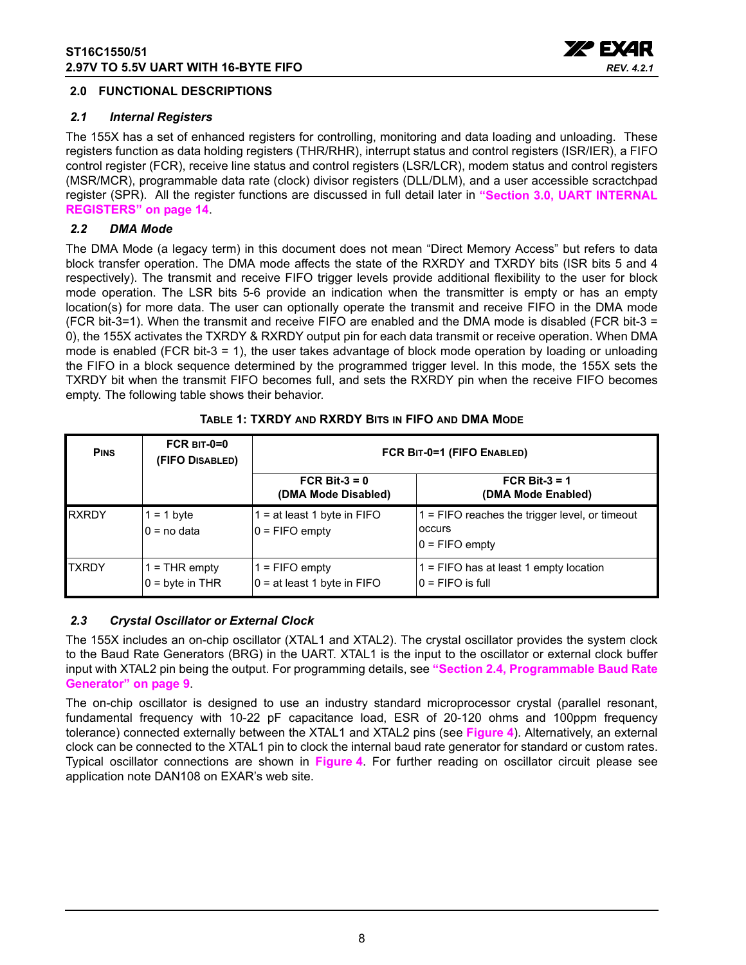

#### <span id="page-7-1"></span>**2.0 FUNCTIONAL DESCRIPTIONS**

#### <span id="page-7-2"></span>*2.1 Internal Registers*

The 155X has a set of enhanced registers for controlling, monitoring and data loading and unloading. These registers function as data holding registers (THR/RHR), interrupt status and control registers (ISR/IER), a FIFO control register (FCR), receive line status and control registers (LSR/LCR), modem status and control registers (MSR/MCR), programmable data rate (clock) divisor registers (DLL/DLM), and a user accessible scractchpad register (SPR). All the register functions are discussed in full detail later in **["Section 3.0, UART INTERNAL](#page-13-0)  [REGISTERS" on page](#page-13-0) 14**.

## <span id="page-7-3"></span>*2.2 DMA Mode*

The DMA Mode (a legacy term) in this document does not mean "Direct Memory Access" but refers to data block transfer operation. The DMA mode affects the state of the RXRDY and TXRDY bits (ISR bits 5 and 4 respectively). The transmit and receive FIFO trigger levels provide additional flexibility to the user for block mode operation. The LSR bits 5-6 provide an indication when the transmitter is empty or has an empty location(s) for more data. The user can optionally operate the transmit and receive FIFO in the DMA mode (FCR bit-3=1). When the transmit and receive FIFO are enabled and the DMA mode is disabled (FCR bit-3 = 0), the 155X activates the TXRDY & RXRDY output pin for each data transmit or receive operation. When DMA mode is enabled (FCR bit-3 = 1), the user takes advantage of block mode operation by loading or unloading the FIFO in a block sequence determined by the programmed trigger level. In this mode, the 155X sets the TXRDY bit when the transmit FIFO becomes full, and sets the RXRDY pin when the receive FIFO becomes empty. The following table shows their behavior.

<span id="page-7-0"></span>

| <b>PINS</b>  | $FCR$ BIT-0=0<br>(FIFO DISABLED)   | FCR BIT-0=1 (FIFO ENABLED)                        |                                                                                |  |  |  |  |
|--------------|------------------------------------|---------------------------------------------------|--------------------------------------------------------------------------------|--|--|--|--|
|              |                                    | FCR Bit- $3 = 0$<br>(DMA Mode Disabled)           | FCR Bit-3 = $1$<br>(DMA Mode Enabled)                                          |  |  |  |  |
| <b>RXRDY</b> | $= 1$ byte<br>$0 = no$ data        | $=$ at least 1 byte in FIFO<br>$0 =$ FIFO empty   | $1 =$ FIFO reaches the trigger level, or timeout<br>occurs<br>$0 =$ FIFO empty |  |  |  |  |
| <b>TXRDY</b> | $=$ THR empty<br>$0 =$ byte in THR | $1 =$ FIFO empty<br>$0 = at least 1 byte in FIFO$ | $1 =$ FIFO has at least 1 empty location<br>I0 = FIFO is full                  |  |  |  |  |

## **TABLE 1: TXRDY AND RXRDY BITS IN FIFO AND DMA MODE**

## <span id="page-7-4"></span>*2.3 Crystal Oscillator or External Clock*

The 155X includes an on-chip oscillator (XTAL1 and XTAL2). The crystal oscillator provides the system clock to the Baud Rate Generators (BRG) in the UART. XTAL1 is the input to the oscillator or external clock buffer input with XTAL2 pin being the output. For programming details, see **["Section 2.4, Programmable Baud Rate](#page-8-1) [Generator" on page](#page-8-1) 9**.

The on-chip oscillator is designed to use an industry standard microprocessor crystal (parallel resonant, fundamental frequency with 10-22 pF capacitance load, ESR of 20-120 ohms and 100ppm frequency tolerance) connected externally between the XTAL1 and XTAL2 pins (see **[Figure](#page-8-0) 4**). Alternatively, an external clock can be connected to the XTAL1 pin to clock the internal baud rate generator for standard or custom rates. Typical oscillator connections are shown in **[Figure](#page-8-0) 4**. For further reading on oscillator circuit please see application note DAN108 on EXAR's web site.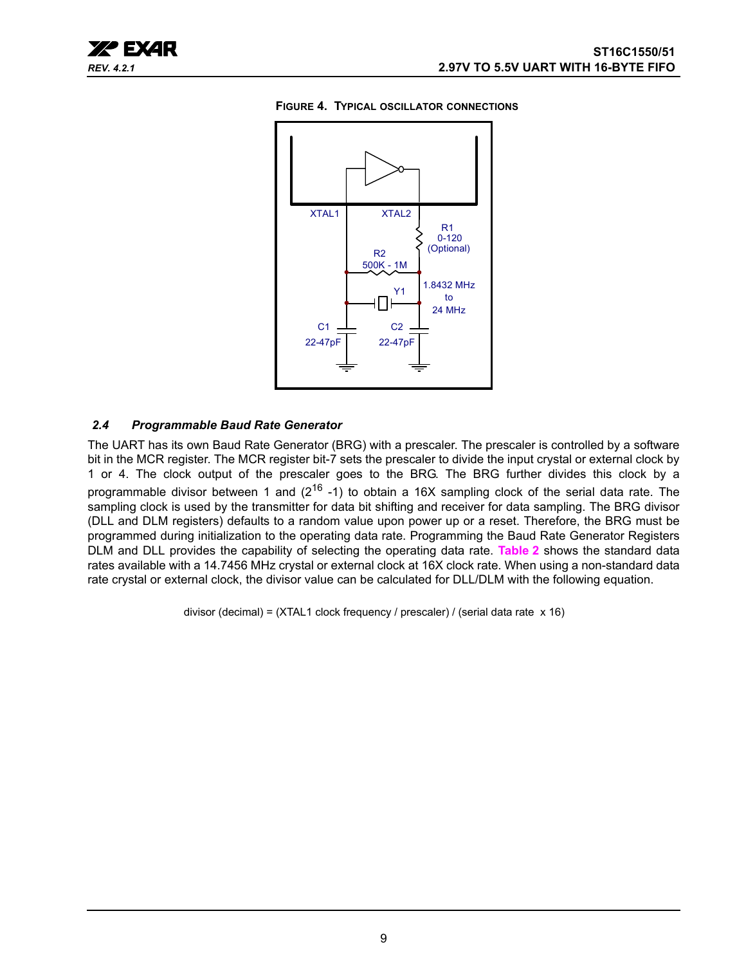<span id="page-8-0"></span>



## <span id="page-8-1"></span>*2.4 Programmable Baud Rate Generator*

The UART has its own Baud Rate Generator (BRG) with a prescaler. The prescaler is controlled by a software bit in the MCR register. The MCR register bit-7 sets the prescaler to divide the input crystal or external clock by 1 or 4. The clock output of the prescaler goes to the BRG. The BRG further divides this clock by a programmable divisor between 1 and  $(2^{16} - 1)$  to obtain a 16X sampling clock of the serial data rate. The sampling clock is used by the transmitter for data bit shifting and receiver for data sampling. The BRG divisor (DLL and DLM registers) defaults to a random value upon power up or a reset. Therefore, the BRG must be programmed during initialization to the operating data rate. Programming the Baud Rate Generator Registers DLM and DLL provides the capability of selecting the operating data rate. **[Table](#page-9-0) 2** shows the standard data rates available with a 14.7456 MHz crystal or external clock at 16X clock rate. When using a non-standard data rate crystal or external clock, the divisor value can be calculated for DLL/DLM with the following equation.

divisor (decimal) = (XTAL1 clock frequency / prescaler) / (serial data rate x 16)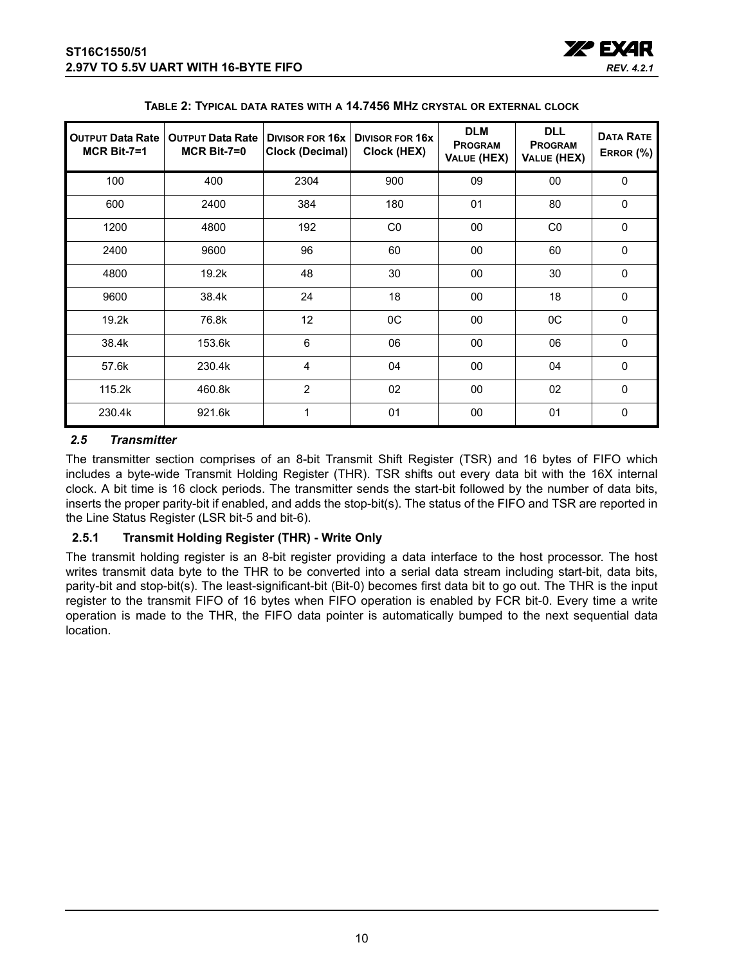

<span id="page-9-0"></span>

| <b>OUTPUT Data Rate</b><br>$MCR$ Bit-7=1 | <b>OUTPUT Data Rate</b><br>$MCR$ Bit-7=0 | <b>DIVISOR FOR 16x</b><br><b>Clock (Decimal)</b> | <b>DIVISOR FOR 16X</b><br>Clock (HEX) | <b>DLM</b><br><b>PROGRAM</b><br>VALUE (HEX) | <b>DLL</b><br><b>PROGRAM</b><br>VALUE (HEX) | <b>DATA RATE</b><br>ERROR (%) |
|------------------------------------------|------------------------------------------|--------------------------------------------------|---------------------------------------|---------------------------------------------|---------------------------------------------|-------------------------------|
| 100                                      | 400                                      | 2304                                             | 900                                   | 09                                          | $00\,$                                      | $\Omega$                      |
| 600                                      | 2400                                     | 384                                              | 180                                   | 01                                          | 80                                          | $\mathbf 0$                   |
| 1200                                     | 4800                                     | 192                                              | CO                                    | 00                                          | CO                                          | $\mathbf 0$                   |
| 2400                                     | 9600                                     | 96                                               | 60                                    | 00                                          | 60                                          | $\mathbf 0$                   |
| 4800                                     | 19.2k                                    | 48                                               | 30                                    | 00                                          | 30                                          | $\mathbf 0$                   |
| 9600                                     | 38.4k                                    | 24                                               | 18                                    | 00                                          | 18                                          | $\Omega$                      |
| 19.2k                                    | 76.8k                                    | 12                                               | 0C                                    | 00                                          | OC                                          | $\mathbf 0$                   |
| 38.4k                                    | 153.6k                                   | 6                                                | 06                                    | 00                                          | 06                                          | $\mathbf{0}$                  |
| 57.6k                                    | 230.4k                                   | $\overline{4}$                                   | 04                                    | 00                                          | 04                                          | $\Omega$                      |
| 115.2k                                   | 460.8k                                   | 2                                                | 02                                    | 00                                          | 02                                          | $\mathbf 0$                   |
| 230.4k                                   | 921.6k                                   | 1                                                | 01                                    | 00                                          | 01                                          | $\mathbf 0$                   |

|  | TABLE 2: TYPICAL DATA RATES WITH A 14.7456 MHZ CRYSTAL OR EXTERNAL CLOCK |
|--|--------------------------------------------------------------------------|
|--|--------------------------------------------------------------------------|

## <span id="page-9-1"></span>*2.5 Transmitter*

The transmitter section comprises of an 8-bit Transmit Shift Register (TSR) and 16 bytes of FIFO which includes a byte-wide Transmit Holding Register (THR). TSR shifts out every data bit with the 16X internal clock. A bit time is 16 clock periods. The transmitter sends the start-bit followed by the number of data bits, inserts the proper parity-bit if enabled, and adds the stop-bit(s). The status of the FIFO and TSR are reported in the Line Status Register (LSR bit-5 and bit-6).

## <span id="page-9-2"></span>**2.5.1 Transmit Holding Register (THR) - Write Only**

The transmit holding register is an 8-bit register providing a data interface to the host processor. The host writes transmit data byte to the THR to be converted into a serial data stream including start-bit, data bits, parity-bit and stop-bit(s). The least-significant-bit (Bit-0) becomes first data bit to go out. The THR is the input register to the transmit FIFO of 16 bytes when FIFO operation is enabled by FCR bit-0. Every time a write operation is made to the THR, the FIFO data pointer is automatically bumped to the next sequential data location.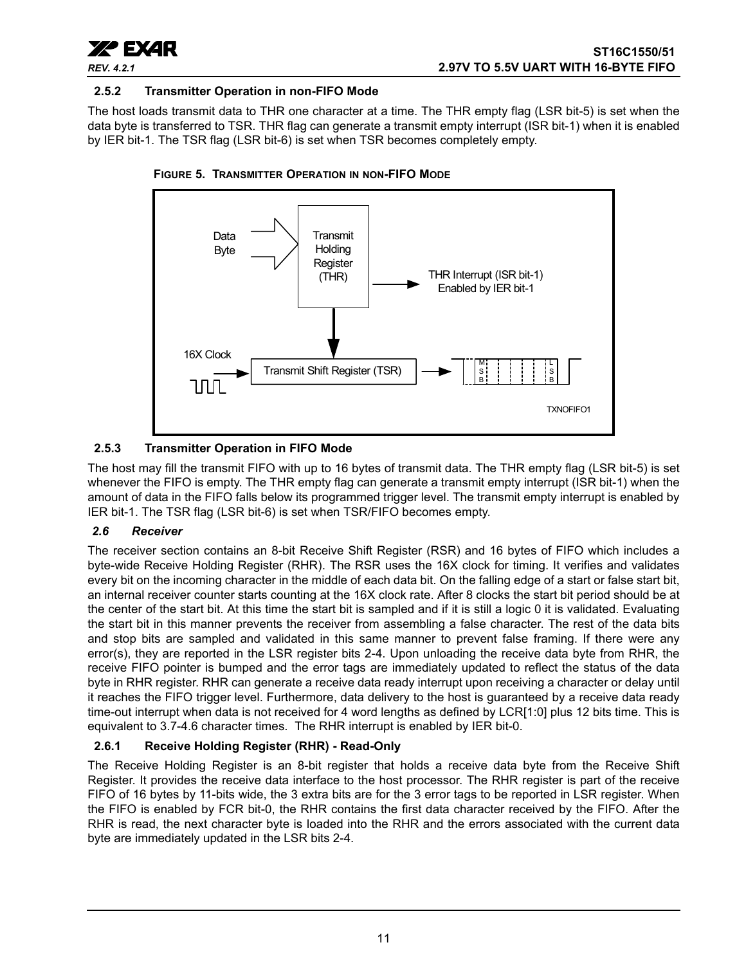

## <span id="page-10-1"></span>**2.5.2 Transmitter Operation in non-FIFO Mode**

The host loads transmit data to THR one character at a time. The THR empty flag (LSR bit-5) is set when the data byte is transferred to TSR. THR flag can generate a transmit empty interrupt (ISR bit-1) when it is enabled by IER bit-1. The TSR flag (LSR bit-6) is set when TSR becomes completely empty.



<span id="page-10-2"></span>

## <span id="page-10-3"></span>**2.5.3 Transmitter Operation in FIFO Mode**

The host may fill the transmit FIFO with up to 16 bytes of transmit data. The THR empty flag (LSR bit-5) is set whenever the FIFO is empty. The THR empty flag can generate a transmit empty interrupt (ISR bit-1) when the amount of data in the FIFO falls below its programmed trigger level. The transmit empty interrupt is enabled by IER bit-1. The TSR flag (LSR bit-6) is set when TSR/FIFO becomes empty.

## <span id="page-10-0"></span>*2.6 Receiver*

The receiver section contains an 8-bit Receive Shift Register (RSR) and 16 bytes of FIFO which includes a byte-wide Receive Holding Register (RHR). The RSR uses the 16X clock for timing. It verifies and validates every bit on the incoming character in the middle of each data bit. On the falling edge of a start or false start bit, an internal receiver counter starts counting at the 16X clock rate. After 8 clocks the start bit period should be at the center of the start bit. At this time the start bit is sampled and if it is still a logic 0 it is validated. Evaluating the start bit in this manner prevents the receiver from assembling a false character. The rest of the data bits and stop bits are sampled and validated in this same manner to prevent false framing. If there were any error(s), they are reported in the LSR register bits 2-4. Upon unloading the receive data byte from RHR, the receive FIFO pointer is bumped and the error tags are immediately updated to reflect the status of the data byte in RHR register. RHR can generate a receive data ready interrupt upon receiving a character or delay until it reaches the FIFO trigger level. Furthermore, data delivery to the host is guaranteed by a receive data ready time-out interrupt when data is not received for 4 word lengths as defined by LCR[1:0] plus 12 bits time. This is equivalent to 3.7-4.6 character times. The RHR interrupt is enabled by IER bit-0.

## <span id="page-10-4"></span>**2.6.1 Receive Holding Register (RHR) - Read-Only**

The Receive Holding Register is an 8-bit register that holds a receive data byte from the Receive Shift Register. It provides the receive data interface to the host processor. The RHR register is part of the receive FIFO of 16 bytes by 11-bits wide, the 3 extra bits are for the 3 error tags to be reported in LSR register. When the FIFO is enabled by FCR bit-0, the RHR contains the first data character received by the FIFO. After the RHR is read, the next character byte is loaded into the RHR and the errors associated with the current data byte are immediately updated in the LSR bits 2-4.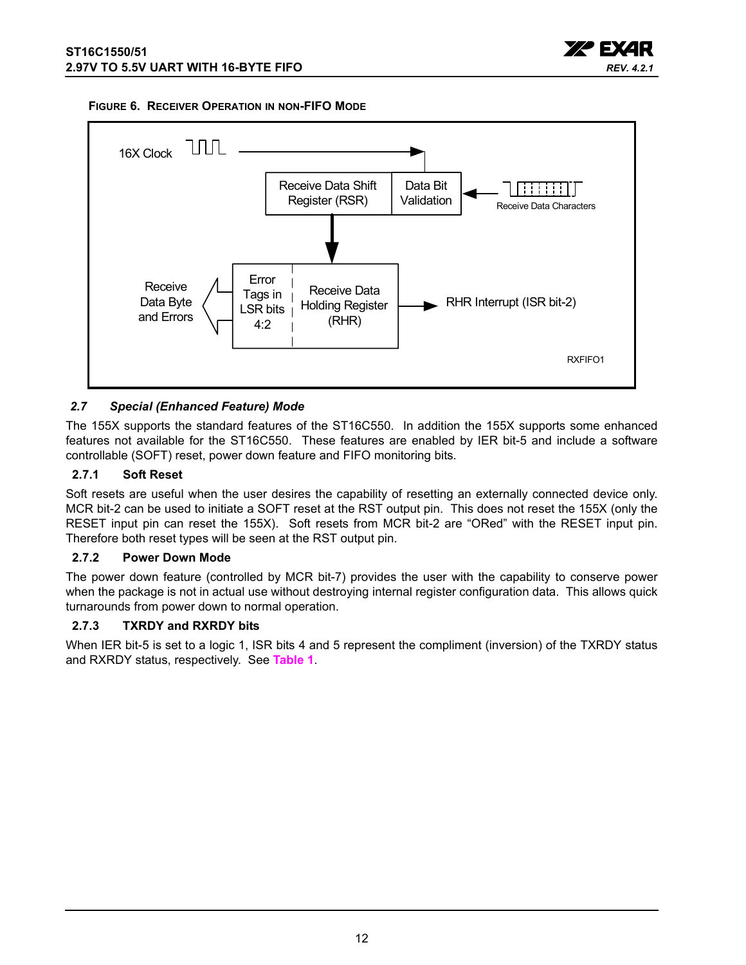

#### <span id="page-11-1"></span>**FIGURE 6. RECEIVER OPERATION IN NON-FIFO MODE**



## <span id="page-11-2"></span>*2.7 Special (Enhanced Feature) Mode*

The 155X supports the standard features of the ST16C550. In addition the 155X supports some enhanced features not available for the ST16C550. These features are enabled by IER bit-5 and include a software controllable (SOFT) reset, power down feature and FIFO monitoring bits.

#### <span id="page-11-3"></span>**2.7.1 Soft Reset**

Soft resets are useful when the user desires the capability of resetting an externally connected device only. MCR bit-2 can be used to initiate a SOFT reset at the RST output pin. This does not reset the 155X (only the RESET input pin can reset the 155X). Soft resets from MCR bit-2 are "ORed" with the RESET input pin. Therefore both reset types will be seen at the RST output pin.

#### <span id="page-11-0"></span>**2.7.2 Power Down Mode**

The power down feature (controlled by MCR bit-7) provides the user with the capability to conserve power when the package is not in actual use without destroying internal register configuration data. This allows quick turnarounds from power down to normal operation.

## <span id="page-11-4"></span>**2.7.3 TXRDY and RXRDY bits**

When IER bit-5 is set to a logic 1, ISR bits 4 and 5 represent the compliment (inversion) of the TXRDY status and RXRDY status, respectively. See **[Table](#page-7-0) 1**.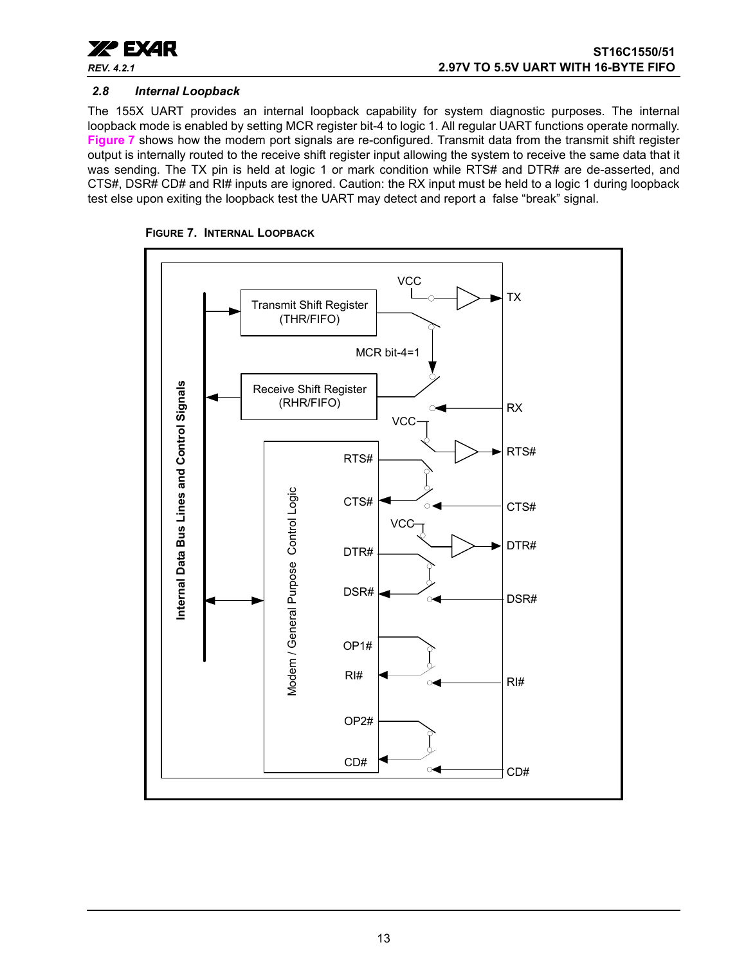

## <span id="page-12-1"></span>*2.8 Internal Loopback*

The 155X UART provides an internal loopback capability for system diagnostic purposes. The internal loopback mode is enabled by setting MCR register bit-4 to logic 1. All regular UART functions operate normally. **[Figure](#page-12-0) 7** shows how the modem port signals are re-configured. Transmit data from the transmit shift register output is internally routed to the receive shift register input allowing the system to receive the same data that it was sending. The TX pin is held at logic 1 or mark condition while RTS# and DTR# are de-asserted, and CTS#, DSR# CD# and RI# inputs are ignored. Caution: the RX input must be held to a logic 1 during loopback test else upon exiting the loopback test the UART may detect and report a false "break" signal.

<span id="page-12-0"></span>

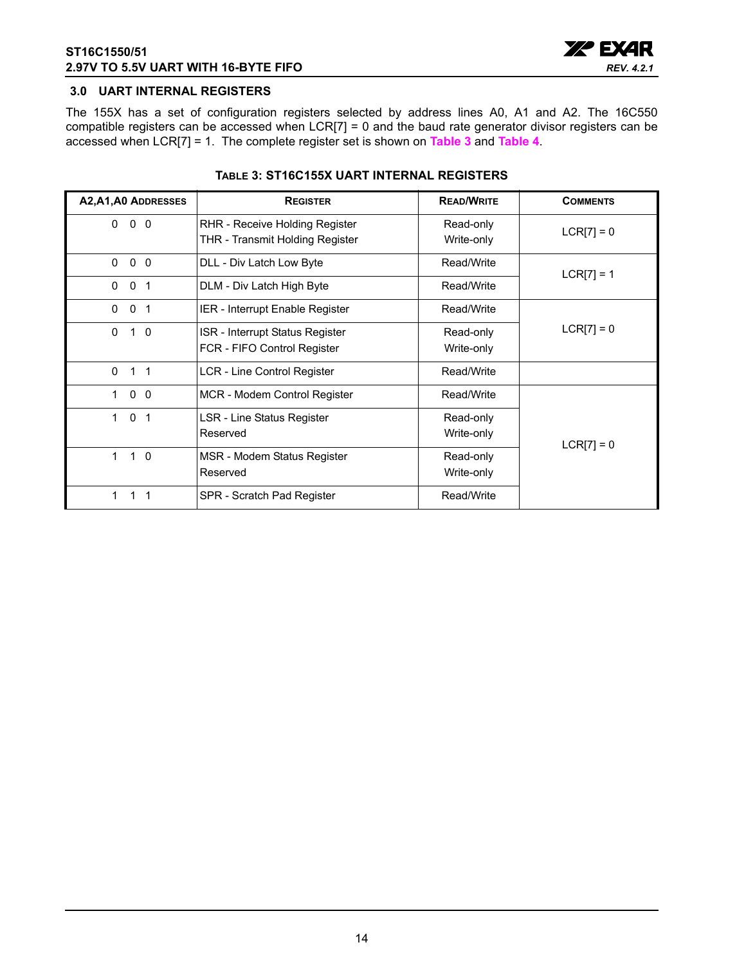

## <span id="page-13-0"></span>**3.0 UART INTERNAL REGISTERS**

The 155X has a set of configuration registers selected by address lines A0, A1 and A2. The 16C550 compatible registers can be accessed when LCR[7] = 0 and the baud rate generator divisor registers can be accessed when LCR[7] = 1. The complete register set is shown on **[Table](#page-13-1) 3** and **[Table](#page-14-0) 4**.

<span id="page-13-1"></span>

| A2, A1, A0 ADDRESSES                   | <b>REGISTER</b>                                                   | <b>READ/WRITE</b>       | <b>COMMENTS</b> |
|----------------------------------------|-------------------------------------------------------------------|-------------------------|-----------------|
| 0<br>0 <sub>0</sub>                    | RHR - Receive Holding Register<br>THR - Transmit Holding Register | Read-only<br>Write-only | $LCR[7] = 0$    |
| $\mathbf 0$<br>0<br>$\overline{0}$     | DLL - Div Latch Low Byte                                          | Read/Write              | $LCR[7] = 1$    |
| $\Omega$<br>0<br>-1                    | DLM - Div Latch High Byte                                         | Read/Write              |                 |
| $\Omega$<br>0<br>$\overline{1}$        | IER - Interrupt Enable Register                                   | Read/Write              |                 |
| $\mathbf{0}$<br>0<br>$\overline{1}$    | ISR - Interrupt Status Register<br>FCR - FIFO Control Register    | Read-only<br>Write-only | $LCR[7] = 0$    |
| $\mathbf{0}$<br>$1 \quad 1$            | LCR - Line Control Register                                       | Read/Write              |                 |
| 0 <sub>0</sub><br>1                    | MCR - Modem Control Register                                      | Read/Write              |                 |
| $\Omega$<br>$\mathbf 1$<br>$\mathbf 1$ | LSR - Line Status Register<br>Reserved                            | Read-only<br>Write-only | $LCR[7] = 0$    |
| $1\quad 0$<br>$\mathbf 1$              | MSR - Modem Status Register<br>Reserved                           | Read-only<br>Write-only |                 |
| 1                                      | SPR - Scratch Pad Register                                        | Read/Write              |                 |

#### **TABLE 3: ST16C155X UART INTERNAL REGISTERS**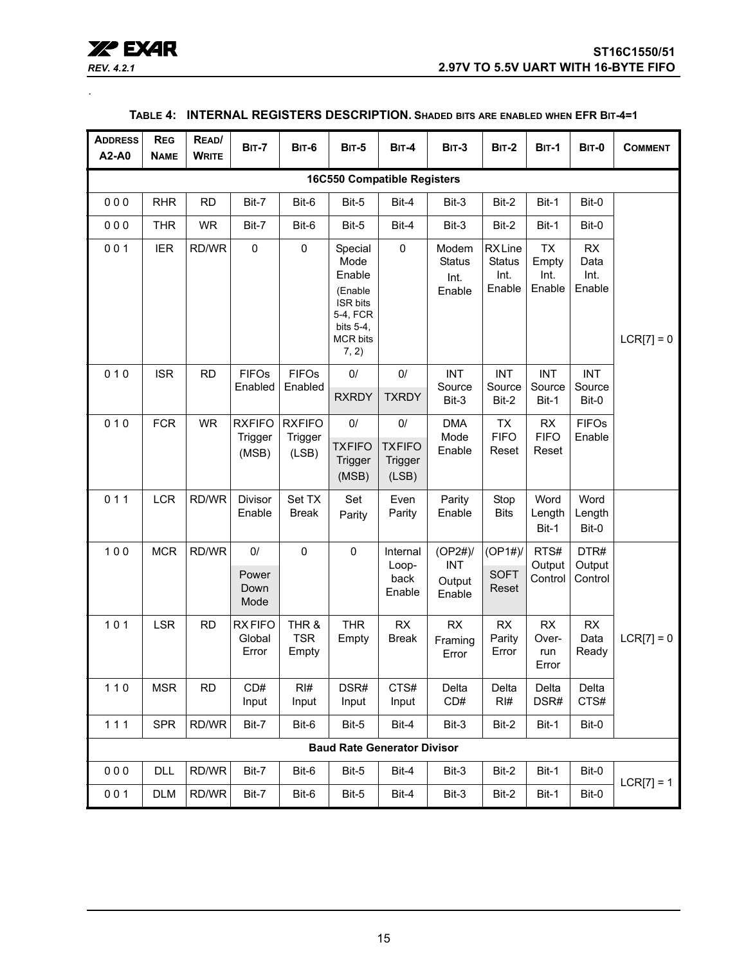| <b>REV. 4.2.1</b> |  |
|-------------------|--|

<span id="page-14-0"></span>.

| <b>ADDRESS</b><br>A2-A0            | <b>REG</b><br><b>NAME</b> | READ/<br><b>WRITE</b> | <b>BIT-7</b>                      | <b>BIT-6</b>                      | <b>BIT-5</b>                                                                                                 | <b>BIT-4</b>                              | <b>BIT-3</b>                             | <b>BIT-2</b>                                     | <b>BIT-1</b>                         | <b>BIT-0</b>                        | <b>COMMENT</b> |
|------------------------------------|---------------------------|-----------------------|-----------------------------------|-----------------------------------|--------------------------------------------------------------------------------------------------------------|-------------------------------------------|------------------------------------------|--------------------------------------------------|--------------------------------------|-------------------------------------|----------------|
| <b>16C550 Compatible Registers</b> |                           |                       |                                   |                                   |                                                                                                              |                                           |                                          |                                                  |                                      |                                     |                |
| 000                                | <b>RHR</b>                | <b>RD</b>             | Bit-7                             | Bit-6                             | Bit-5                                                                                                        | Bit-4                                     | Bit-3                                    | Bit-2                                            | Bit-1                                | Bit-0                               |                |
| 000                                | <b>THR</b>                | <b>WR</b>             | Bit-7                             | Bit-6                             | Bit-5                                                                                                        | Bit-4                                     | Bit-3                                    | Bit-2                                            | Bit-1                                | Bit-0                               |                |
| 001                                | <b>IER</b>                | RD/WR                 | $\pmb{0}$                         | $\mathsf 0$                       | Special<br>Mode<br>Enable<br>(Enable<br><b>ISR bits</b><br>5-4, FCR<br>bits 5-4,<br><b>MCR bits</b><br>7, 2) | $\pmb{0}$                                 | Modem<br><b>Status</b><br>Int.<br>Enable | <b>RXLine</b><br><b>Status</b><br>Int.<br>Enable | <b>TX</b><br>Empty<br>Int.<br>Enable | <b>RX</b><br>Data<br>Int.<br>Enable | $LCR[7] = 0$   |
| 010                                | <b>ISR</b>                | <b>RD</b>             | <b>FIFOs</b><br>Enabled           | <b>FIFOs</b><br>Enabled           | 0/<br><b>RXRDY</b>                                                                                           | 0/<br><b>TXRDY</b>                        | <b>INT</b><br>Source<br>Bit-3            | <b>INT</b><br>Source<br>Bit-2                    | <b>INT</b><br>Source<br>Bit-1        | <b>INT</b><br>Source<br>Bit-0       |                |
| 010                                | <b>FCR</b>                | <b>WR</b>             | <b>RXFIFO</b><br>Trigger<br>(MSB) | <b>RXFIFO</b><br>Trigger<br>(LSB) | $0/$<br><b>TXFIFO</b><br>Trigger<br>(MSB)                                                                    | $0/$<br><b>TXFIFO</b><br>Trigger<br>(LSB) | <b>DMA</b><br>Mode<br>Enable             | <b>TX</b><br><b>FIFO</b><br>Reset                | RX<br><b>FIFO</b><br>Reset           | <b>FIFOs</b><br>Enable              |                |
| 011                                | <b>LCR</b>                | RD/WR                 | Divisor<br>Enable                 | Set TX<br><b>Break</b>            | Set<br>Parity                                                                                                | Even<br>Parity                            | Parity<br>Enable                         | Stop<br><b>Bits</b>                              | Word<br>Length<br>Bit-1              | Word<br>Length<br>Bit-0             |                |
| 100                                | <b>MCR</b>                | RD/WR                 | 0/<br>Power<br>Down<br>Mode       | $\pmb{0}$                         | $\mathbf 0$                                                                                                  | Internal<br>Loop-<br>back<br>Enable       | (OP2#)<br><b>INT</b><br>Output<br>Enable | (OP1#)<br><b>SOFT</b><br>Reset                   | RTS#<br>Output<br>Control            | DTR#<br>Output<br>Control           |                |
| 101                                | <b>LSR</b>                | <b>RD</b>             | <b>RXFIFO</b><br>Global<br>Error  | THR &<br><b>TSR</b><br>Empty      | <b>THR</b><br>Empty                                                                                          | <b>RX</b><br><b>Break</b>                 | <b>RX</b><br>Framing<br>Error            | RX<br>Parity<br>Error                            | <b>RX</b><br>Over-<br>run<br>Error   | RX<br>Data<br>Ready                 | $LCR[7] = 0$   |
| $110$                              | <b>MSR</b>                | <b>RD</b>             | CD#<br>Input                      | RI#<br>Input                      | DSR#<br>Input                                                                                                | CTS#<br>Input                             | Delta<br>CD#                             | Delta<br>RI#                                     | Delta<br>DSR#                        | Delta<br>CTS#                       |                |
| 111                                | <b>SPR</b>                | RD/WR                 | Bit-7                             | Bit-6                             | Bit-5                                                                                                        | Bit-4                                     | Bit-3                                    | Bit-2                                            | Bit-1                                | Bit-0                               |                |
|                                    |                           |                       |                                   |                                   |                                                                                                              | <b>Baud Rate Generator Divisor</b>        |                                          |                                                  |                                      |                                     |                |
| 000                                | <b>DLL</b>                | RD/WR                 | Bit-7                             | Bit-6                             | Bit-5                                                                                                        | Bit-4                                     | Bit-3                                    | Bit-2                                            | Bit-1                                | Bit-0                               | $LCR[7] = 1$   |
| 001                                | <b>DLM</b>                | RD/WR                 | Bit-7                             | Bit-6                             | Bit-5                                                                                                        | Bit-4                                     | Bit-3                                    | Bit-2                                            | Bit-1                                | Bit-0                               |                |

## **TABLE 4: INTERNAL REGISTERS DESCRIPTION. SHADED BITS ARE ENABLED WHEN EFR BIT-4=1**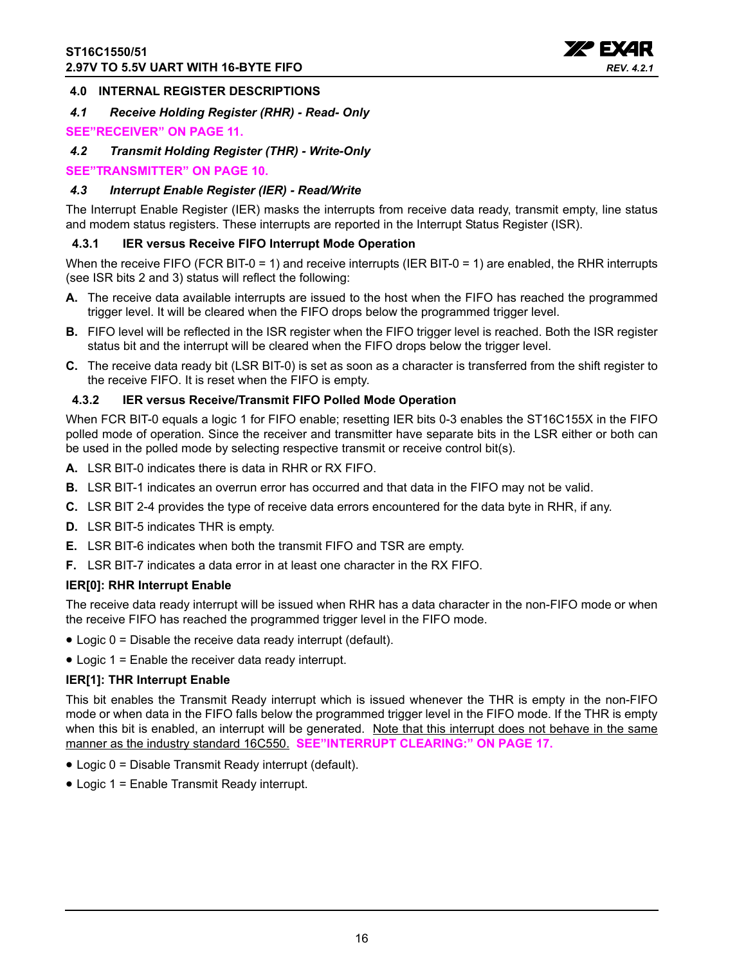

## <span id="page-15-0"></span>**4.0 INTERNAL REGISTER DESCRIPTIONS**

## <span id="page-15-1"></span>*4.1 Receive Holding Register (RHR) - Read- Only*

## **[SEE"RECEIVER" ON PAGE](#page-10-0) 11.**

<span id="page-15-2"></span>*4.2 Transmit Holding Register (THR) - Write-Only*

## **[SEE"TRANSMITTER" ON PAGE](#page-9-1) 10.**

## <span id="page-15-3"></span>*4.3 Interrupt Enable Register (IER) - Read/Write*

The Interrupt Enable Register (IER) masks the interrupts from receive data ready, transmit empty, line status and modem status registers. These interrupts are reported in the Interrupt Status Register (ISR).

## <span id="page-15-4"></span>**4.3.1 IER versus Receive FIFO Interrupt Mode Operation**

When the receive FIFO (FCR BIT-0 = 1) and receive interrupts (IER BIT-0 = 1) are enabled, the RHR interrupts (see ISR bits 2 and 3) status will reflect the following:

- **A.** The receive data available interrupts are issued to the host when the FIFO has reached the programmed trigger level. It will be cleared when the FIFO drops below the programmed trigger level.
- **B.** FIFO level will be reflected in the ISR register when the FIFO trigger level is reached. Both the ISR register status bit and the interrupt will be cleared when the FIFO drops below the trigger level.
- **C.** The receive data ready bit (LSR BIT-0) is set as soon as a character is transferred from the shift register to the receive FIFO. It is reset when the FIFO is empty.

## <span id="page-15-5"></span>**4.3.2 IER versus Receive/Transmit FIFO Polled Mode Operation**

When FCR BIT-0 equals a logic 1 for FIFO enable; resetting IER bits 0-3 enables the ST16C155X in the FIFO polled mode of operation. Since the receiver and transmitter have separate bits in the LSR either or both can be used in the polled mode by selecting respective transmit or receive control bit(s).

- **A.** LSR BIT-0 indicates there is data in RHR or RX FIFO.
- **B.** LSR BIT-1 indicates an overrun error has occurred and that data in the FIFO may not be valid.
- **C.** LSR BIT 2-4 provides the type of receive data errors encountered for the data byte in RHR, if any.
- **D.** LSR BIT-5 indicates THR is empty.
- **E.** LSR BIT-6 indicates when both the transmit FIFO and TSR are empty.
- **F.** LSR BIT-7 indicates a data error in at least one character in the RX FIFO.

#### **IER[0]: RHR Interrupt Enable**

The receive data ready interrupt will be issued when RHR has a data character in the non-FIFO mode or when the receive FIFO has reached the programmed trigger level in the FIFO mode.

- Logic 0 = Disable the receive data ready interrupt (default).
- Logic 1 = Enable the receiver data ready interrupt.

#### **IER[1]: THR Interrupt Enable**

This bit enables the Transmit Ready interrupt which is issued whenever the THR is empty in the non-FIFO mode or when data in the FIFO falls below the programmed trigger level in the FIFO mode. If the THR is empty when this bit is enabled, an interrupt will be generated. Note that this interrupt does not behave in the same manner as the industry standard 16C550. **[SEE"INTERRUPT CLEARING:" ON PAGE](#page-16-0) 17.**

- Logic 0 = Disable Transmit Ready interrupt (default).
- Logic 1 = Enable Transmit Ready interrupt.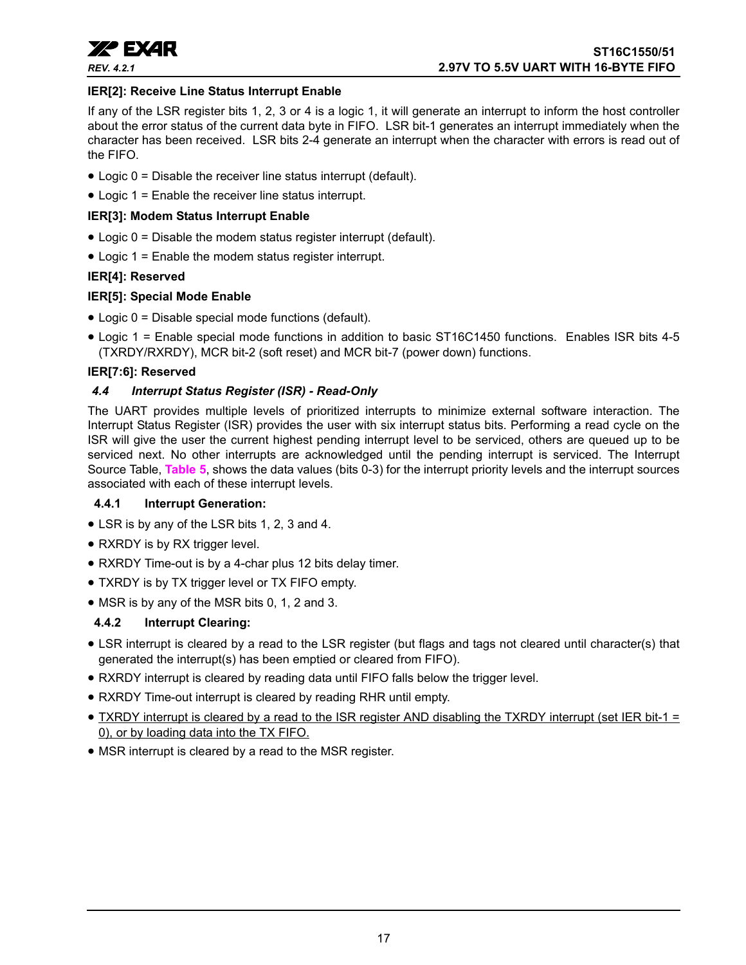

## **IER[2]: Receive Line Status Interrupt Enable**

If any of the LSR register bits 1, 2, 3 or 4 is a logic 1, it will generate an interrupt to inform the host controller about the error status of the current data byte in FIFO. LSR bit-1 generates an interrupt immediately when the character has been received. LSR bits 2-4 generate an interrupt when the character with errors is read out of the FIFO.

- Logic 0 = Disable the receiver line status interrupt (default).
- Logic 1 = Enable the receiver line status interrupt.

#### **IER[3]: Modem Status Interrupt Enable**

- Logic 0 = Disable the modem status register interrupt (default).
- Logic 1 = Enable the modem status register interrupt.

## **IER[4]: Reserved**

## **IER[5]: Special Mode Enable**

- Logic 0 = Disable special mode functions (default).
- Logic 1 = Enable special mode functions in addition to basic ST16C1450 functions. Enables ISR bits 4-5 (TXRDY/RXRDY), MCR bit-2 (soft reset) and MCR bit-7 (power down) functions.

## **IER[7:6]: Reserved**

## <span id="page-16-1"></span>*4.4 Interrupt Status Register (ISR) - Read-Only*

The UART provides multiple levels of prioritized interrupts to minimize external software interaction. The Interrupt Status Register (ISR) provides the user with six interrupt status bits. Performing a read cycle on the ISR will give the user the current highest pending interrupt level to be serviced, others are queued up to be serviced next. No other interrupts are acknowledged until the pending interrupt is serviced. The Interrupt Source Table, **[Table](#page-17-0) 5**, shows the data values (bits 0-3) for the interrupt priority levels and the interrupt sources associated with each of these interrupt levels.

#### <span id="page-16-2"></span>**4.4.1 Interrupt Generation:**

- LSR is by any of the LSR bits 1, 2, 3 and 4.
- RXRDY is by RX trigger level.
- RXRDY Time-out is by a 4-char plus 12 bits delay timer.
- TXRDY is by TX trigger level or TX FIFO empty.
- MSR is by any of the MSR bits 0, 1, 2 and 3.

## <span id="page-16-0"></span>**4.4.2 Interrupt Clearing:**

- LSR interrupt is cleared by a read to the LSR register (but flags and tags not cleared until character(s) that generated the interrupt(s) has been emptied or cleared from FIFO).
- RXRDY interrupt is cleared by reading data until FIFO falls below the trigger level.
- RXRDY Time-out interrupt is cleared by reading RHR until empty.
- TXRDY interrupt is cleared by a read to the ISR register AND disabling the TXRDY interrupt (set IER bit-1 = 0), or by loading data into the TX FIFO.
- MSR interrupt is cleared by a read to the MSR register.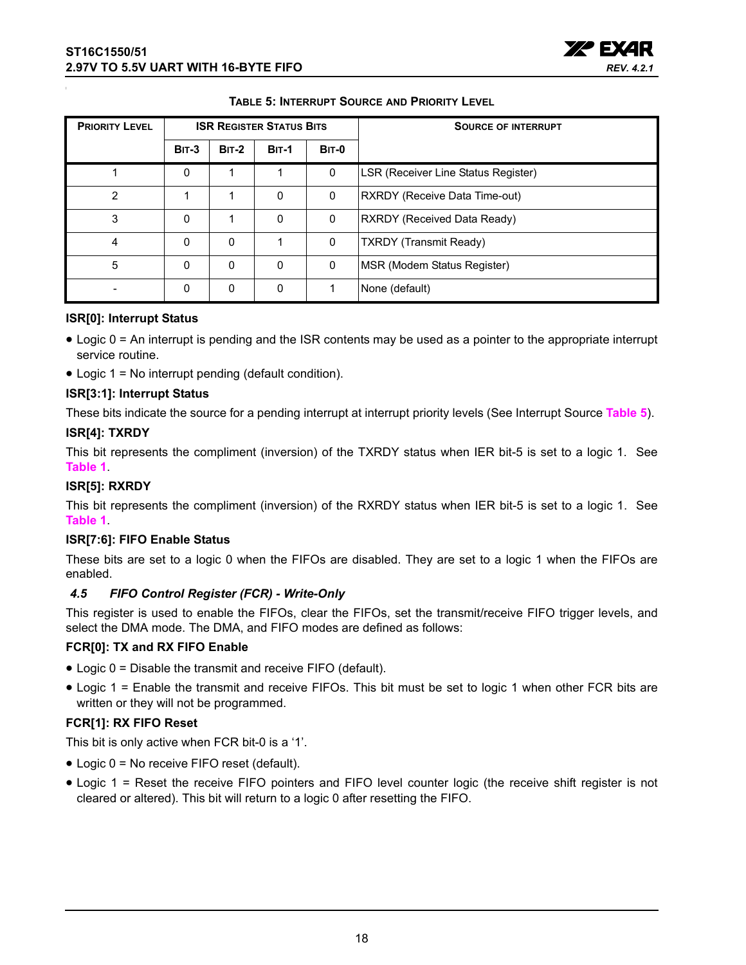

| <b>TABLE 5: INTERRUPT SOURCE AND PRIORITY LEVEL</b> |
|-----------------------------------------------------|
|-----------------------------------------------------|

<span id="page-17-0"></span>

| <b>PRIORITY LEVEL</b> |          |         | <b>ISR REGISTER STATUS BITS</b> |              | <b>SOURCE OF INTERRUPT</b>          |
|-----------------------|----------|---------|---------------------------------|--------------|-------------------------------------|
|                       | $BIT-3$  | $BIT-2$ | <b>BIT-1</b>                    | <b>BIT-0</b> |                                     |
|                       | $\Omega$ |         |                                 | 0            | LSR (Receiver Line Status Register) |
| $\overline{2}$        |          |         | 0                               | 0            | RXRDY (Receive Data Time-out)       |
| 3                     | $\Omega$ |         | $\mathbf{0}$                    | 0            | <b>RXRDY (Received Data Ready)</b>  |
| 4                     | $\Omega$ | 0       |                                 | 0            | <b>TXRDY (Transmit Ready)</b>       |
| 5                     | $\Omega$ | 0       | 0                               | 0            | MSR (Modem Status Register)         |
|                       | $\Omega$ | 0       | 0                               |              | None (default)                      |

## **ISR[0]: Interrupt Status**

- Logic 0 = An interrupt is pending and the ISR contents may be used as a pointer to the appropriate interrupt service routine.
- Logic 1 = No interrupt pending (default condition).

## **ISR[3:1]: Interrupt Status**

These bits indicate the source for a pending interrupt at interrupt priority levels (See Interrupt Source **[Table](#page-17-0) 5**).

## **ISR[4]: TXRDY**

This bit represents the compliment (inversion) of the TXRDY status when IER bit-5 is set to a logic 1. See **[Table](#page-7-0) 1**.

## **ISR[5]: RXRDY**

This bit represents the compliment (inversion) of the RXRDY status when IER bit-5 is set to a logic 1. See **[Table](#page-7-0) 1**.

#### **ISR[7:6]: FIFO Enable Status**

These bits are set to a logic 0 when the FIFOs are disabled. They are set to a logic 1 when the FIFOs are enabled.

## <span id="page-17-1"></span>*4.5 FIFO Control Register (FCR) - Write-Only*

This register is used to enable the FIFOs, clear the FIFOs, set the transmit/receive FIFO trigger levels, and select the DMA mode. The DMA, and FIFO modes are defined as follows:

## **FCR[0]: TX and RX FIFO Enable**

- Logic 0 = Disable the transmit and receive FIFO (default).
- Logic 1 = Enable the transmit and receive FIFOs. This bit must be set to logic 1 when other FCR bits are written or they will not be programmed.

## **FCR[1]: RX FIFO Reset**

This bit is only active when FCR bit-0 is a '1'.

- Logic 0 = No receive FIFO reset (default).
- Logic 1 = Reset the receive FIFO pointers and FIFO level counter logic (the receive shift register is not cleared or altered). This bit will return to a logic 0 after resetting the FIFO.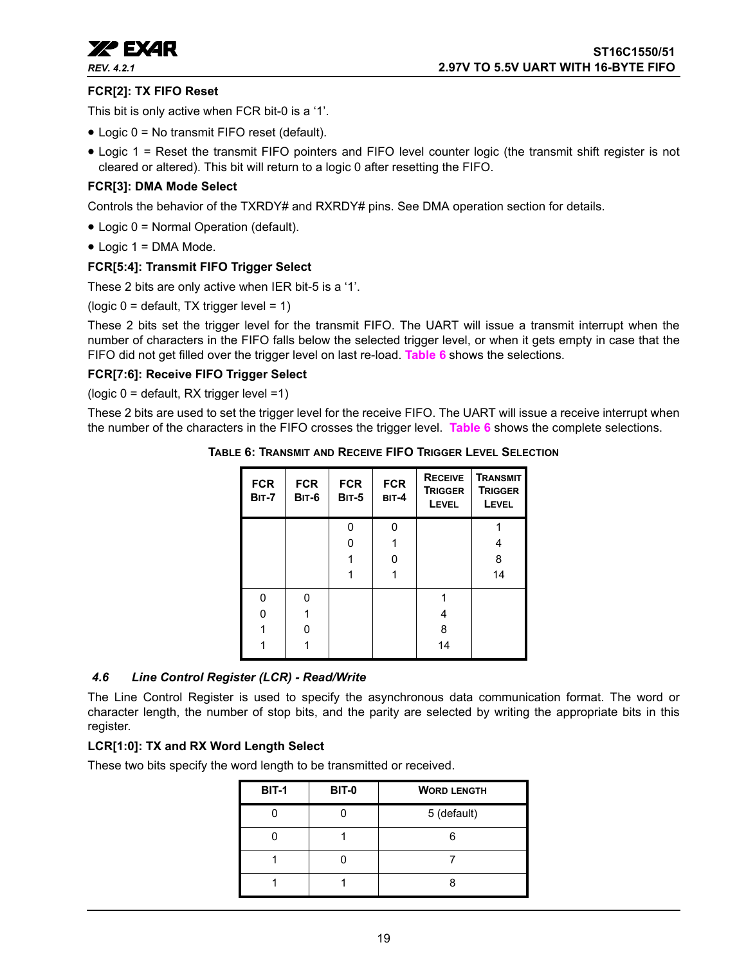

## **FCR[2]: TX FIFO Reset**

This bit is only active when FCR bit-0 is a '1'.

- Logic 0 = No transmit FIFO reset (default).
- Logic 1 = Reset the transmit FIFO pointers and FIFO level counter logic (the transmit shift register is not cleared or altered). This bit will return to a logic 0 after resetting the FIFO.

## **FCR[3]: DMA Mode Select**

Controls the behavior of the TXRDY# and RXRDY# pins. See DMA operation section for details.

- Logic 0 = Normal Operation (default).
- Logic 1 = DMA Mode.

## **FCR[5:4]: Transmit FIFO Trigger Select**

These 2 bits are only active when IER bit-5 is a '1'.

(logic  $0 =$  default, TX trigger level = 1)

These 2 bits set the trigger level for the transmit FIFO. The UART will issue a transmit interrupt when the number of characters in the FIFO falls below the selected trigger level, or when it gets empty in case that the FIFO did not get filled over the trigger level on last re-load. **[Table](#page-18-0) 6** shows the selections.

#### **FCR[7:6]: Receive FIFO Trigger Select**

(logic 0 = default, RX trigger level =1)

<span id="page-18-0"></span>These 2 bits are used to set the trigger level for the receive FIFO. The UART will issue a receive interrupt when the number of the characters in the FIFO crosses the trigger level. **[Table](#page-18-0) 6** shows the complete selections.

| <b>FCR</b><br><b>BIT-7</b> | <b>FCR</b><br><b>BIT-6</b> | <b>FCR</b><br><b>BIT-5</b> | <b>FCR</b><br>BIT-4 | <b>RECEIVE</b><br><b>TRIGGER</b><br><b>LEVEL</b> | <b>TRANSMIT</b><br><b>TRIGGER</b><br><b>LEVEL</b> |
|----------------------------|----------------------------|----------------------------|---------------------|--------------------------------------------------|---------------------------------------------------|
|                            |                            | ŋ                          | N                   |                                                  |                                                   |
|                            |                            | O                          |                     |                                                  |                                                   |
|                            |                            |                            | ი                   |                                                  | 8                                                 |
|                            |                            |                            |                     |                                                  | 14                                                |
| 0                          | U                          |                            |                     |                                                  |                                                   |
| N                          |                            |                            |                     |                                                  |                                                   |
|                            |                            |                            |                     | 8                                                |                                                   |
|                            |                            |                            |                     | 14                                               |                                                   |

**TABLE 6: TRANSMIT AND RECEIVE FIFO TRIGGER LEVEL SELECTION**

## <span id="page-18-1"></span>*4.6 Line Control Register (LCR) - Read/Write*

The Line Control Register is used to specify the asynchronous data communication format. The word or character length, the number of stop bits, and the parity are selected by writing the appropriate bits in this register.

#### **LCR[1:0]: TX and RX Word Length Select**

These two bits specify the word length to be transmitted or received.

| <b>BIT-1</b> | <b>BIT-0</b> | <b>WORD LENGTH</b> |
|--------------|--------------|--------------------|
|              |              | 5 (default)        |
|              |              |                    |
|              |              |                    |
|              |              |                    |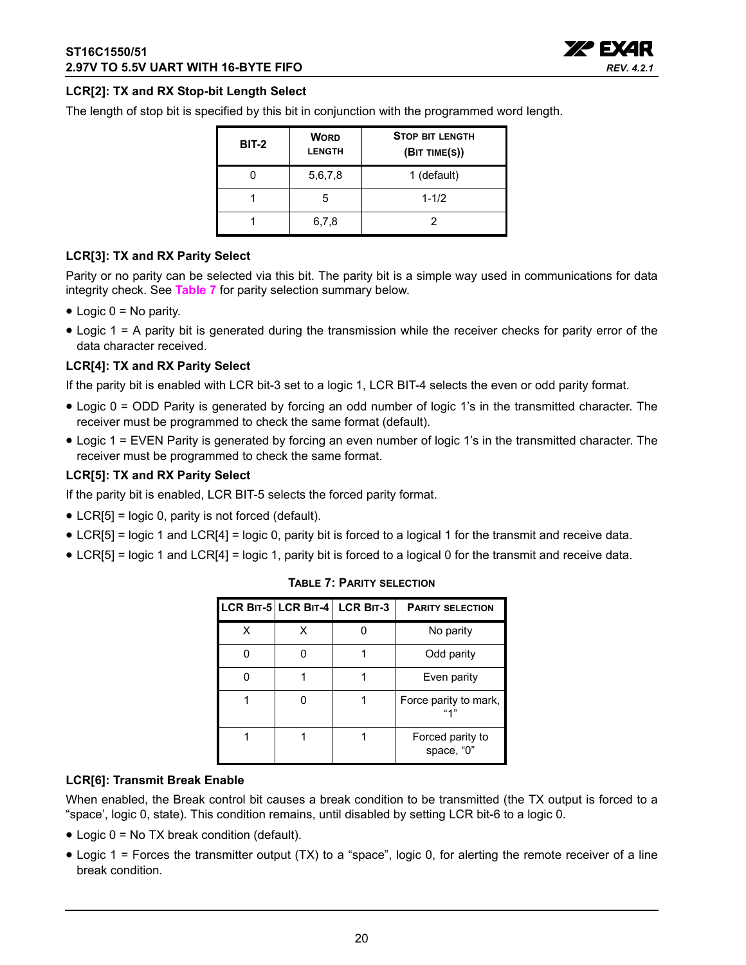

## **LCR[2]: TX and RX Stop-bit Length Select**

The length of stop bit is specified by this bit in conjunction with the programmed word length.

| <b>BIT-2</b> | <b>WORD</b><br><b>LENGTH</b> | <b>STOP BIT LENGTH</b><br>(BIT TIME(S)) |
|--------------|------------------------------|-----------------------------------------|
|              | 5,6,7,8                      | 1 (default)                             |
|              | 5                            | $1 - 1/2$                               |
|              | 6,7,8                        |                                         |

## **LCR[3]: TX and RX Parity Select**

Parity or no parity can be selected via this bit. The parity bit is a simple way used in communications for data integrity check. See **[Table](#page-19-0) 7** for parity selection summary below.

- $\bullet$  Logic  $0 = No$  parity.
- Logic 1 = A parity bit is generated during the transmission while the receiver checks for parity error of the data character received.

## **LCR[4]: TX and RX Parity Select**

If the parity bit is enabled with LCR bit-3 set to a logic 1, LCR BIT-4 selects the even or odd parity format.

- Logic 0 = ODD Parity is generated by forcing an odd number of logic 1's in the transmitted character. The receiver must be programmed to check the same format (default).
- Logic 1 = EVEN Parity is generated by forcing an even number of logic 1's in the transmitted character. The receiver must be programmed to check the same format.

#### **LCR[5]: TX and RX Parity Select**

If the parity bit is enabled, LCR BIT-5 selects the forced parity format.

- LCR[5] = logic 0, parity is not forced (default).
- LCR[5] = logic 1 and LCR[4] = logic 0, parity bit is forced to a logical 1 for the transmit and receive data.
- <span id="page-19-0"></span>• LCR[5] = logic 1 and LCR[4] = logic 1, parity bit is forced to a logical 0 for the transmit and receive data.

|   |   | LCR BIT-5 LCR BIT-4 LCR BIT-3 | <b>PARITY SELECTION</b>        |
|---|---|-------------------------------|--------------------------------|
| x | x |                               | No parity                      |
|   |   |                               | Odd parity                     |
|   |   |                               | Even parity                    |
|   |   |                               | Force parity to mark,          |
|   |   |                               | Forced parity to<br>space, "0" |

#### **TABLE 7: PARITY SELECTION**

#### **LCR[6]: Transmit Break Enable**

When enabled, the Break control bit causes a break condition to be transmitted (the TX output is forced to a "space', logic 0, state). This condition remains, until disabled by setting LCR bit-6 to a logic 0.

- Logic 0 = No TX break condition (default).
- Logic 1 = Forces the transmitter output (TX) to a "space", logic 0, for alerting the remote receiver of a line break condition.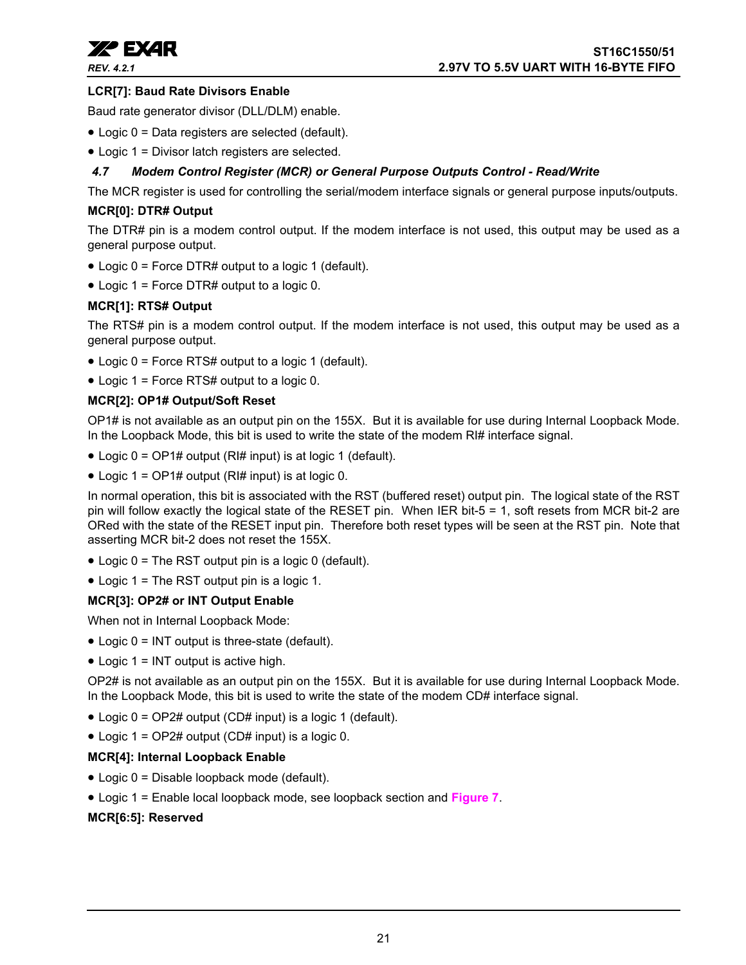

## **LCR[7]: Baud Rate Divisors Enable**

Baud rate generator divisor (DLL/DLM) enable.

- Logic 0 = Data registers are selected (default).
- Logic 1 = Divisor latch registers are selected.

## <span id="page-20-0"></span>*4.7 Modem Control Register (MCR) or General Purpose Outputs Control - Read/Write*

The MCR register is used for controlling the serial/modem interface signals or general purpose inputs/outputs.

## **MCR[0]: DTR# Output**

The DTR# pin is a modem control output. If the modem interface is not used, this output may be used as a general purpose output.

- Logic 0 = Force DTR# output to a logic 1 (default).
- Logic 1 = Force DTR# output to a logic 0.

## **MCR[1]: RTS# Output**

The RTS# pin is a modem control output. If the modem interface is not used, this output may be used as a general purpose output.

- Logic 0 = Force RTS# output to a logic 1 (default).
- Logic 1 = Force RTS# output to a logic 0.

## **MCR[2]: OP1# Output/Soft Reset**

OP1# is not available as an output pin on the 155X. But it is available for use during Internal Loopback Mode. In the Loopback Mode, this bit is used to write the state of the modem RI# interface signal.

- Logic 0 = OP1# output (RI# input) is at logic 1 (default).
- Logic  $1 = \text{OP1#}$  output (RI# input) is at logic 0.

In normal operation, this bit is associated with the RST (buffered reset) output pin. The logical state of the RST pin will follow exactly the logical state of the RESET pin. When IER bit-5 = 1, soft resets from MCR bit-2 are ORed with the state of the RESET input pin. Therefore both reset types will be seen at the RST pin. Note that asserting MCR bit-2 does not reset the 155X.

- Logic 0 = The RST output pin is a logic 0 (default).
- Logic 1 = The RST output pin is a logic 1.

#### **MCR[3]: OP2# or INT Output Enable**

When not in Internal Loopback Mode:

- Logic 0 = INT output is three-state (default).
- Logic 1 = INT output is active high.

OP2# is not available as an output pin on the 155X. But it is available for use during Internal Loopback Mode. In the Loopback Mode, this bit is used to write the state of the modem CD# interface signal.

- Logic 0 = OP2# output (CD# input) is a logic 1 (default).
- Logic 1 = OP2# output (CD# input) is a logic 0.

#### **MCR[4]: Internal Loopback Enable**

- Logic 0 = Disable loopback mode (default).
- Logic 1 = Enable local loopback mode, see loopback section and **[Figure](#page-12-0) 7**.

## **MCR[6:5]: Reserved**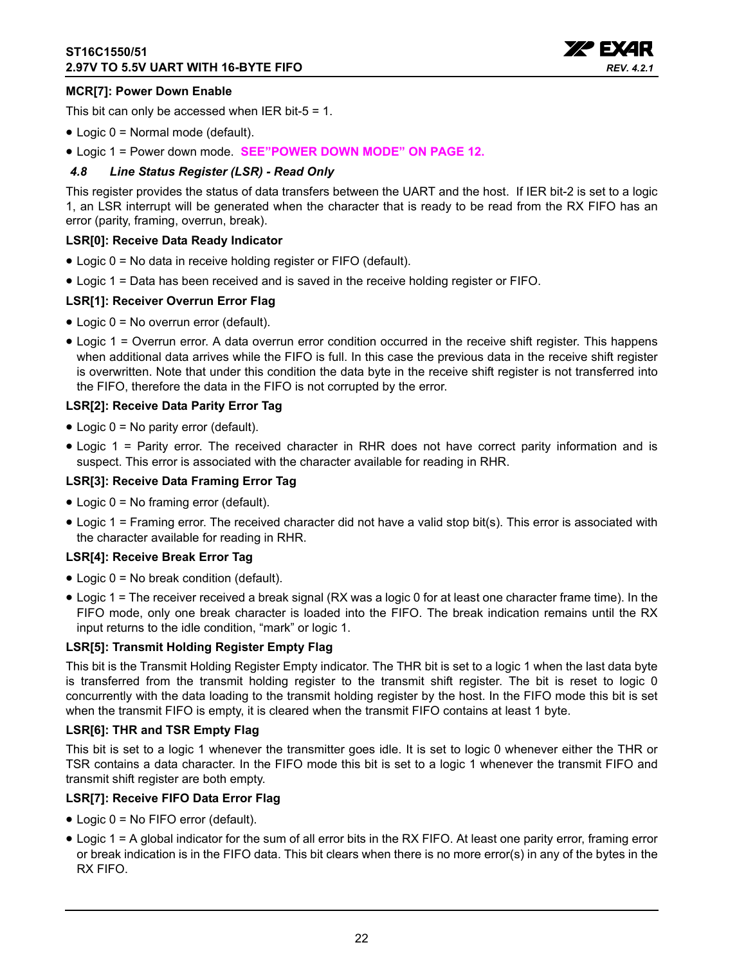

## **MCR[7]: Power Down Enable**

This bit can only be accessed when IER bit-5 = 1.

- Logic 0 = Normal mode (default).
- Logic 1 = Power down mode. **[SEE"POWER DOWN MODE" ON PAGE](#page-11-0) 12.**

## <span id="page-21-0"></span>*4.8 Line Status Register (LSR) - Read Only*

This register provides the status of data transfers between the UART and the host. If IER bit-2 is set to a logic 1, an LSR interrupt will be generated when the character that is ready to be read from the RX FIFO has an error (parity, framing, overrun, break).

#### **LSR[0]: Receive Data Ready Indicator**

- Logic 0 = No data in receive holding register or FIFO (default).
- Logic 1 = Data has been received and is saved in the receive holding register or FIFO.

## **LSR[1]: Receiver Overrun Error Flag**

- Logic 0 = No overrun error (default).
- Logic 1 = Overrun error. A data overrun error condition occurred in the receive shift register. This happens when additional data arrives while the FIFO is full. In this case the previous data in the receive shift register is overwritten. Note that under this condition the data byte in the receive shift register is not transferred into the FIFO, therefore the data in the FIFO is not corrupted by the error.

## **LSR[2]: Receive Data Parity Error Tag**

- Logic 0 = No parity error (default).
- Logic 1 = Parity error. The received character in RHR does not have correct parity information and is suspect. This error is associated with the character available for reading in RHR.

## **LSR[3]: Receive Data Framing Error Tag**

- Logic 0 = No framing error (default).
- Logic 1 = Framing error. The received character did not have a valid stop bit(s). This error is associated with the character available for reading in RHR.

#### **LSR[4]: Receive Break Error Tag**

- Logic 0 = No break condition (default).
- Logic 1 = The receiver received a break signal (RX was a logic 0 for at least one character frame time). In the FIFO mode, only one break character is loaded into the FIFO. The break indication remains until the RX input returns to the idle condition, "mark" or logic 1.

#### **LSR[5]: Transmit Holding Register Empty Flag**

This bit is the Transmit Holding Register Empty indicator. The THR bit is set to a logic 1 when the last data byte is transferred from the transmit holding register to the transmit shift register. The bit is reset to logic 0 concurrently with the data loading to the transmit holding register by the host. In the FIFO mode this bit is set when the transmit FIFO is empty, it is cleared when the transmit FIFO contains at least 1 byte.

#### **LSR[6]: THR and TSR Empty Flag**

This bit is set to a logic 1 whenever the transmitter goes idle. It is set to logic 0 whenever either the THR or TSR contains a data character. In the FIFO mode this bit is set to a logic 1 whenever the transmit FIFO and transmit shift register are both empty.

## **LSR[7]: Receive FIFO Data Error Flag**

- Logic 0 = No FIFO error (default).
- Logic 1 = A global indicator for the sum of all error bits in the RX FIFO. At least one parity error, framing error or break indication is in the FIFO data. This bit clears when there is no more error(s) in any of the bytes in the RX FIFO.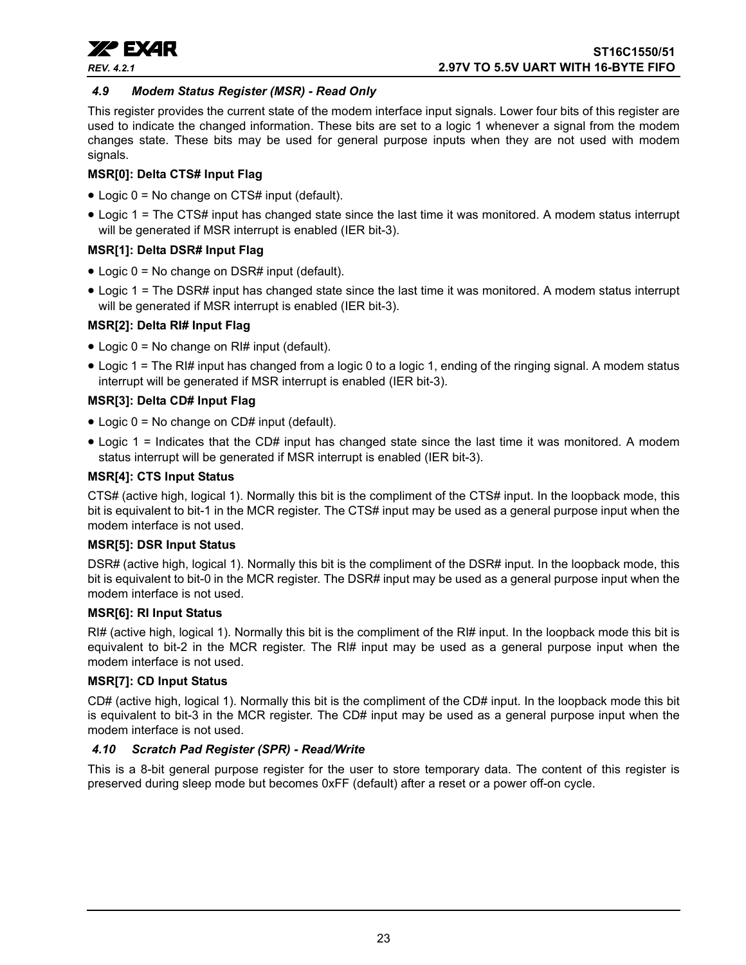

## <span id="page-22-0"></span>*4.9 Modem Status Register (MSR) - Read Only*

This register provides the current state of the modem interface input signals. Lower four bits of this register are used to indicate the changed information. These bits are set to a logic 1 whenever a signal from the modem changes state. These bits may be used for general purpose inputs when they are not used with modem signals.

## **MSR[0]: Delta CTS# Input Flag**

- Logic 0 = No change on CTS# input (default).
- Logic 1 = The CTS# input has changed state since the last time it was monitored. A modem status interrupt will be generated if MSR interrupt is enabled (IER bit-3).

## **MSR[1]: Delta DSR# Input Flag**

- Logic 0 = No change on DSR# input (default).
- Logic 1 = The DSR# input has changed state since the last time it was monitored. A modem status interrupt will be generated if MSR interrupt is enabled (IER bit-3).

## **MSR[2]: Delta RI# Input Flag**

- Logic  $0 = No$  change on RI# input (default).
- Logic 1 = The RI# input has changed from a logic 0 to a logic 1, ending of the ringing signal. A modem status interrupt will be generated if MSR interrupt is enabled (IER bit-3).

## **MSR[3]: Delta CD# Input Flag**

- Logic 0 = No change on CD# input (default).
- Logic 1 = Indicates that the CD# input has changed state since the last time it was monitored. A modem status interrupt will be generated if MSR interrupt is enabled (IER bit-3).

## **MSR[4]: CTS Input Status**

CTS# (active high, logical 1). Normally this bit is the compliment of the CTS# input. In the loopback mode, this bit is equivalent to bit-1 in the MCR register. The CTS# input may be used as a general purpose input when the modem interface is not used.

## **MSR[5]: DSR Input Status**

DSR# (active high, logical 1). Normally this bit is the compliment of the DSR# input. In the loopback mode, this bit is equivalent to bit-0 in the MCR register. The DSR# input may be used as a general purpose input when the modem interface is not used.

## **MSR[6]: RI Input Status**

RI# (active high, logical 1). Normally this bit is the compliment of the RI# input. In the loopback mode this bit is equivalent to bit-2 in the MCR register. The RI# input may be used as a general purpose input when the modem interface is not used.

## **MSR[7]: CD Input Status**

CD# (active high, logical 1). Normally this bit is the compliment of the CD# input. In the loopback mode this bit is equivalent to bit-3 in the MCR register. The CD# input may be used as a general purpose input when the modem interface is not used.

## <span id="page-22-1"></span>*4.10 Scratch Pad Register (SPR) - Read/Write*

This is a 8-bit general purpose register for the user to store temporary data. The content of this register is preserved during sleep mode but becomes 0xFF (default) after a reset or a power off-on cycle.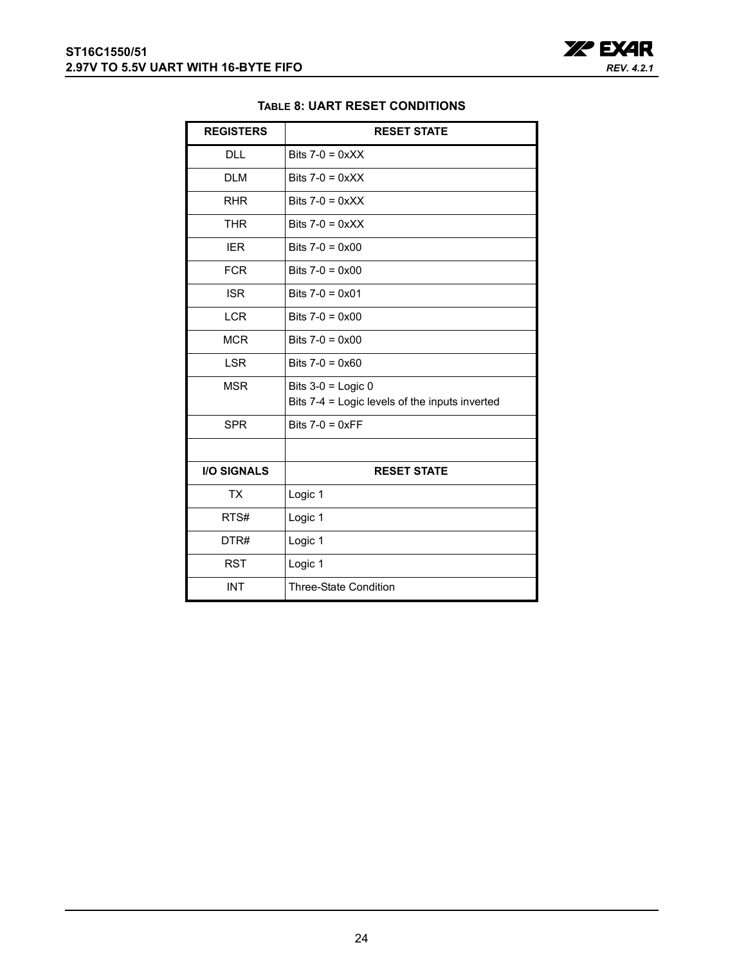

## **TABLE 8: UART RESET CONDITIONS**

<span id="page-23-0"></span>

| <b>REGISTERS</b>   | <b>RESET STATE</b>                             |
|--------------------|------------------------------------------------|
| <b>DLL</b>         | Bits $7-0 = 0 \times X$                        |
| <b>DLM</b>         | Bits $7-0 = 0 \times XX$                       |
| <b>RHR</b>         | Bits $7-0 = 0 \times X$                        |
| <b>THR</b>         | Bits $7-0 = 0 \times X$                        |
| <b>IER</b>         | Bits $7-0 = 0 \times 00$                       |
| <b>FCR</b>         | Bits $7-0 = 0 \times 00$                       |
| <b>ISR</b>         | Bits $7-0 = 0 \times 01$                       |
| <b>LCR</b>         | Bits $7-0 = 0 \times 00$                       |
| <b>MCR</b>         | Bits $7-0 = 0 \times 00$                       |
| <b>LSR</b>         | Bits $7-0 = 0 \times 60$                       |
| <b>MSR</b>         | Bits $3-0$ = Logic 0                           |
|                    | Bits 7-4 = Logic levels of the inputs inverted |
| <b>SPR</b>         | Bits $7-0 = 0 \times FF$                       |
|                    |                                                |
| <b>I/O SIGNALS</b> | <b>RESET STATE</b>                             |
| <b>TX</b>          | Logic 1                                        |
| RTS#               | Logic 1                                        |
| DTR#               | Logic 1                                        |
| <b>RST</b>         | Logic 1                                        |
| <b>INT</b>         | <b>Three-State Condition</b>                   |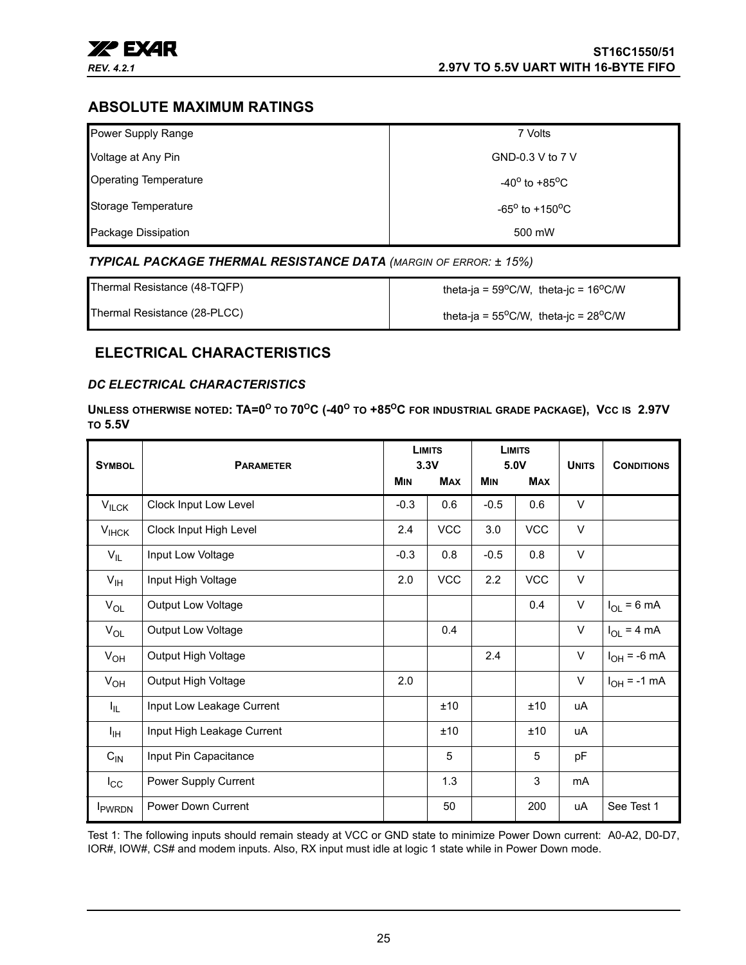

# <span id="page-24-0"></span>**ABSOLUTE MAXIMUM RATINGS**

| Power Supply Range           | 7 Volts                           |
|------------------------------|-----------------------------------|
| Voltage at Any Pin           | GND-0.3 V to 7 V                  |
| <b>Operating Temperature</b> | $-40^{\circ}$ to $+85^{\circ}$ C  |
| Storage Temperature          | $-65^{\circ}$ to $+150^{\circ}$ C |
| Package Dissipation          | 500 mW                            |

## <span id="page-24-1"></span>*TYPICAL PACKAGE THERMAL RESISTANCE DATA (MARGIN OF ERROR: ± 15%)*

| Thermal Resistance (48-TQFP) | theta-ja = $59^{\circ}$ C/W, theta-jc = $16^{\circ}$ C/W |
|------------------------------|----------------------------------------------------------|
| Thermal Resistance (28-PLCC) | theta-ja = $55^{\circ}$ C/W, theta-jc = $28^{\circ}$ C/W |

## <span id="page-24-2"></span>**ELECTRICAL CHARACTERISTICS**

## <span id="page-24-3"></span>*DC ELECTRICAL CHARACTERISTICS*

**UNLESS OTHERWISE NOTED: TA=0<sup>O</sup> TO 70OC (-40O TO +85OC FOR INDUSTRIAL GRADE PACKAGE), VCC IS 2.97V TO 5.5V** 

| <b>SYMBOL</b>     | <b>PARAMETER</b>           |            | <b>LIMITS</b><br>3.3V |            | <b>LIMITS</b><br>5.0V |              | <b>CONDITIONS</b> |
|-------------------|----------------------------|------------|-----------------------|------------|-----------------------|--------------|-------------------|
|                   |                            | <b>MIN</b> | <b>MAX</b>            | <b>MIN</b> | <b>MAX</b>            | <b>UNITS</b> |                   |
| $V_{ILCK}$        | Clock Input Low Level      | $-0.3$     | 0.6                   | $-0.5$     | 0.6                   | V            |                   |
| $V_{HCK}$         | Clock Input High Level     | 2.4        | <b>VCC</b>            | 3.0        | <b>VCC</b>            | $\vee$       |                   |
| $V_{IL}$          | Input Low Voltage          | $-0.3$     | 0.8                   | $-0.5$     | 0.8                   | V            |                   |
| $V_{\text{IH}}$   | Input High Voltage         | 2.0        | <b>VCC</b>            | 2.2        | <b>VCC</b>            | V            |                   |
| $V_{OL}$          | <b>Output Low Voltage</b>  |            |                       |            | 0.4                   | V            | $I_{OL}$ = 6 mA   |
| $V_{OL}$          | <b>Output Low Voltage</b>  |            | 0.4                   |            |                       | V            | $I_{OL}$ = 4 mA   |
| $V_{OH}$          | Output High Voltage        |            |                       | 2.4        |                       | V            | $I_{OH}$ = -6 mA  |
| $V_{OH}$          | Output High Voltage        | 2.0        |                       |            |                       | V            | $I_{OH} = -1$ mA  |
| $I_{\parallel L}$ | Input Low Leakage Current  |            | ±10                   |            | ±10                   | uA           |                   |
| I <sub>IН</sub>   | Input High Leakage Current |            | ±10                   |            | ±10                   | uA           |                   |
| $C_{IN}$          | Input Pin Capacitance      |            | 5                     |            | 5                     | pF           |                   |
| $I_{\rm CC}$      | Power Supply Current       |            | 1.3                   |            | 3                     | mA           |                   |
| <b>I</b> PWRDN    | Power Down Current         |            | 50                    |            | 200                   | uA           | See Test 1        |

Test 1: The following inputs should remain steady at VCC or GND state to minimize Power Down current: A0-A2, D0-D7, IOR#, IOW#, CS# and modem inputs. Also, RX input must idle at logic 1 state while in Power Down mode.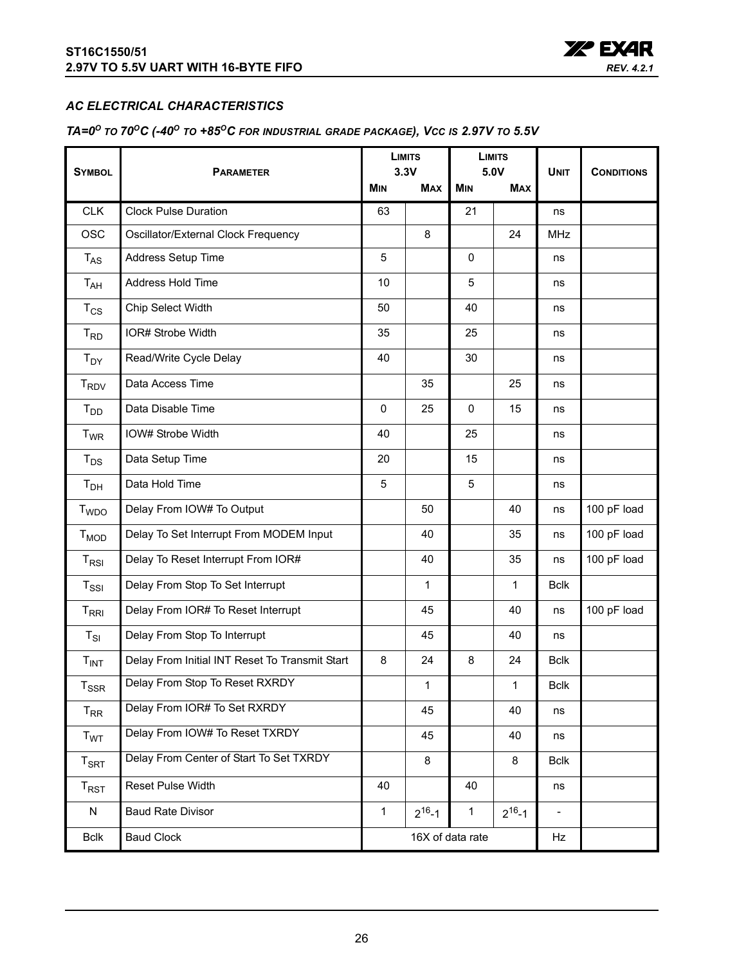

## <span id="page-25-0"></span>*AC ELECTRICAL CHARACTERISTICS*

# <span id="page-25-1"></span>*TA=0O TO 70OC (-40O TO +85OC FOR INDUSTRIAL GRADE PACKAGE), VCC IS 2.97V TO 5.5V*

| <b>SYMBOL</b>              | <b>PARAMETER</b><br><b>MIN</b>                 |                              | <b>LIMITS</b><br>3.3V |              | <b>LIMITS</b><br>5.0V |             |                   |
|----------------------------|------------------------------------------------|------------------------------|-----------------------|--------------|-----------------------|-------------|-------------------|
|                            |                                                |                              | <b>MAX</b>            | MIN          | <b>MAX</b>            | <b>UNIT</b> | <b>CONDITIONS</b> |
| <b>CLK</b>                 | <b>Clock Pulse Duration</b>                    | 63                           |                       | 21           |                       | ns          |                   |
| <b>OSC</b>                 | Oscillator/External Clock Frequency            |                              | 8                     |              | 24                    | <b>MHz</b>  |                   |
| $T_{AS}$                   | Address Setup Time                             | 5                            |                       | 0            |                       | ns          |                   |
| $T_{AH}$                   | Address Hold Time                              | 10                           |                       | 5            |                       | ns          |                   |
| $T_{CS}$                   | Chip Select Width                              | 50                           |                       | 40           |                       | ns          |                   |
| $T_{RD}$                   | IOR# Strobe Width                              | 35                           |                       | 25           |                       | ns          |                   |
| $T_{DY}$                   | Read/Write Cycle Delay                         | 40                           |                       | 30           |                       | ns          |                   |
| <b>T<sub>RDV</sub></b>     | Data Access Time                               |                              | 35                    |              | 25                    | ns          |                   |
| $T_{DD}$                   | Data Disable Time                              | 0                            | 25                    | 0            | 15                    | ns          |                   |
| $T_{WR}$                   | IOW# Strobe Width                              | 40                           |                       | 25           |                       | ns          |                   |
| $T_{DS}$                   | Data Setup Time                                | 20                           |                       | 15           |                       | ns          |                   |
| T <sub>DH</sub>            | Data Hold Time                                 | 5                            |                       | 5            |                       | ns          |                   |
| <b>T</b> <sub>WDO</sub>    | Delay From IOW# To Output                      |                              | 50                    |              | 40                    | ns          | 100 pF load       |
| $T_{MOD}$                  | Delay To Set Interrupt From MODEM Input        |                              | 40                    |              | 35                    | ns          | 100 pF load       |
| $T_{RSI}$                  | Delay To Reset Interrupt From IOR#             |                              | 40                    |              | 35                    | ns          | 100 pF load       |
| $T_{\rm SSI}$              | Delay From Stop To Set Interrupt               |                              | $\mathbf{1}$          |              | 1                     | <b>Bclk</b> |                   |
| $T_{\rm RRI}$              | Delay From IOR# To Reset Interrupt             |                              | 45                    |              | 40                    | ns          | 100 pF load       |
| $T_{SI}$                   | Delay From Stop To Interrupt                   |                              | 45                    |              | 40                    | ns          |                   |
| T <sub>INT</sub>           | Delay From Initial INT Reset To Transmit Start | 8                            | 24                    | 8            | 24                    | <b>Bclk</b> |                   |
| $T_{SSR}$                  | Delay From Stop To Reset RXRDY                 |                              | 1                     |              | $\mathbf{1}$          | <b>Bclk</b> |                   |
| $T_{RR}$                   | Delay From IOR# To Set RXRDY                   | 45                           |                       |              | 40                    | ns          |                   |
| T <sub>WT</sub>            | Delay From IOW# To Reset TXRDY                 | 45                           |                       |              | 40                    | ns          |                   |
| $T_{\footnotesize\rm SRT}$ | Delay From Center of Start To Set TXRDY        | 8                            |                       |              | 8                     | <b>Bclk</b> |                   |
| $T_{RST}$                  | Reset Pulse Width                              | 40                           |                       | 40           |                       | ns          |                   |
| N                          | <b>Baud Rate Divisor</b>                       | $\mathbf{1}$<br>$2^{16} - 1$ |                       | $\mathbf{1}$ | $2^{16} - 1$          |             |                   |
| <b>Bclk</b>                | <b>Baud Clock</b>                              | 16X of data rate<br>Hz       |                       |              |                       |             |                   |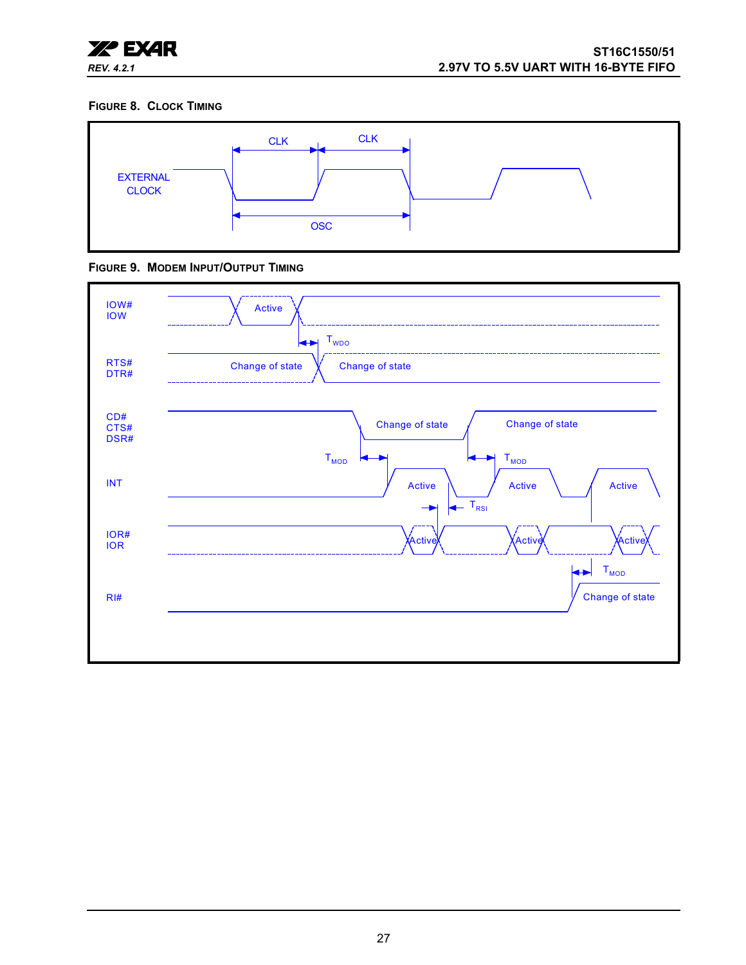

#### <span id="page-26-0"></span>**FIGURE 8. CLOCK TIMING**



<span id="page-26-1"></span>

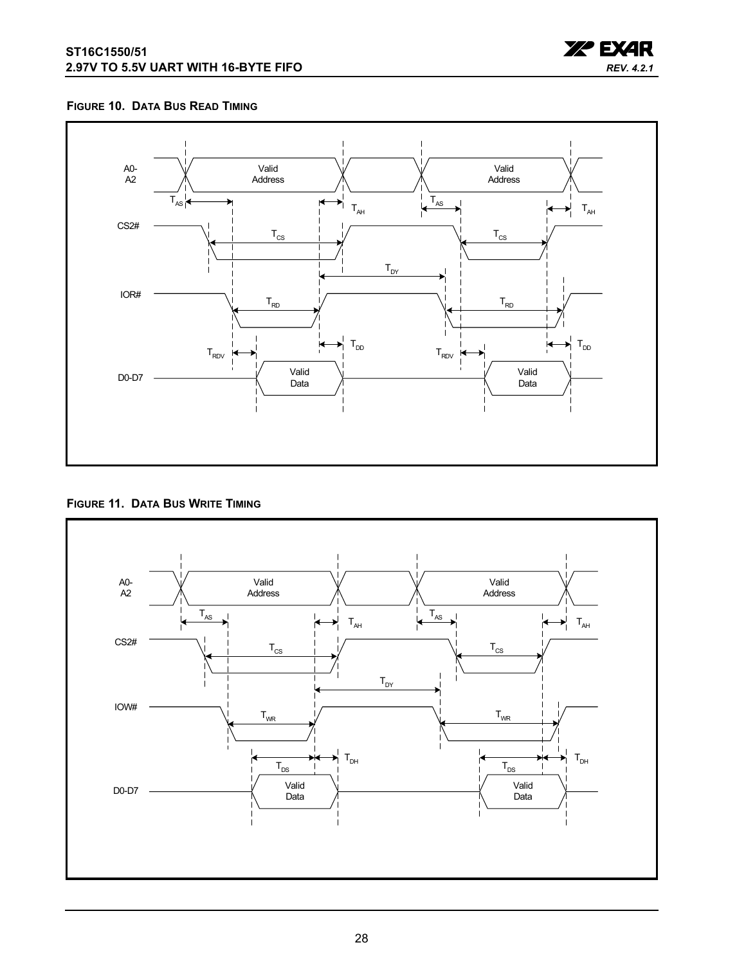

#### <span id="page-27-0"></span>**FIGURE 10. DATA BUS READ TIMING**



<span id="page-27-1"></span>**FIGURE 11. DATA BUS WRITE TIMING**

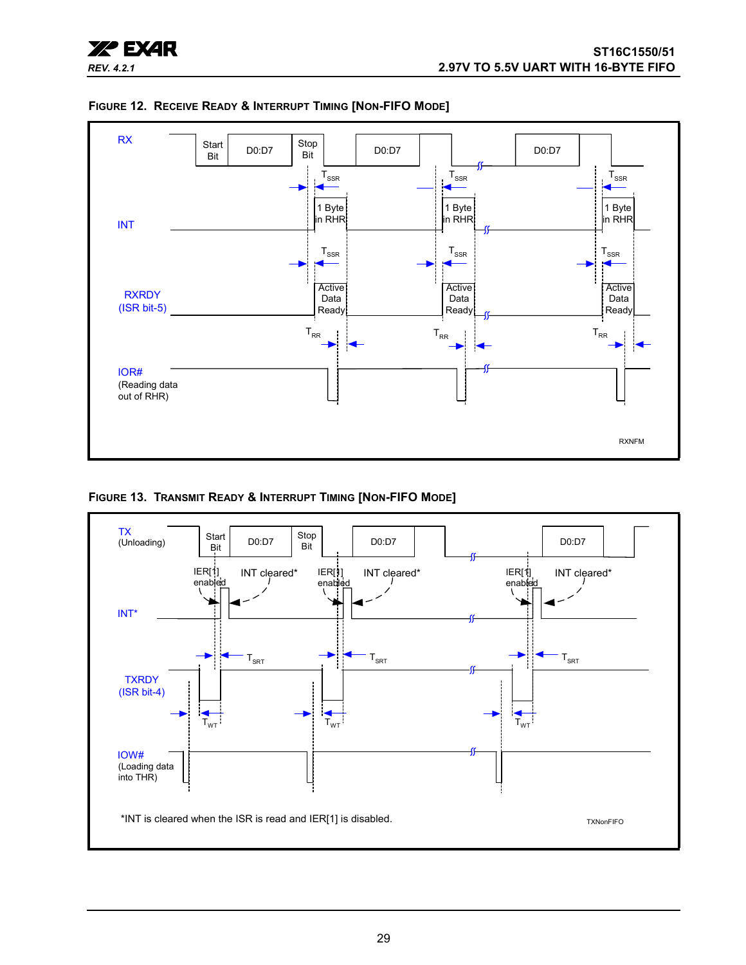



<span id="page-28-0"></span>

<span id="page-28-1"></span>**FIGURE 13. TRANSMIT READY & INTERRUPT TIMING [NON-FIFO MODE]** 

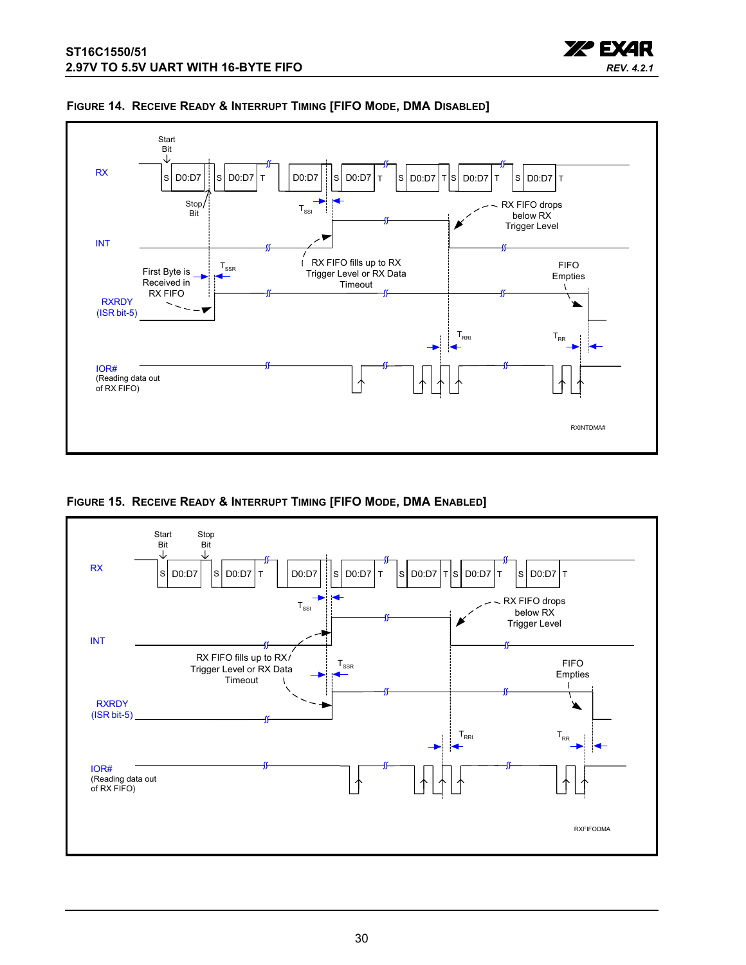



#### <span id="page-29-0"></span>**FIGURE 14. RECEIVE READY & INTERRUPT TIMING [FIFO MODE, DMA DISABLED]**

<span id="page-29-1"></span>**FIGURE 15. RECEIVE READY & INTERRUPT TIMING [FIFO MODE, DMA ENABLED]** 

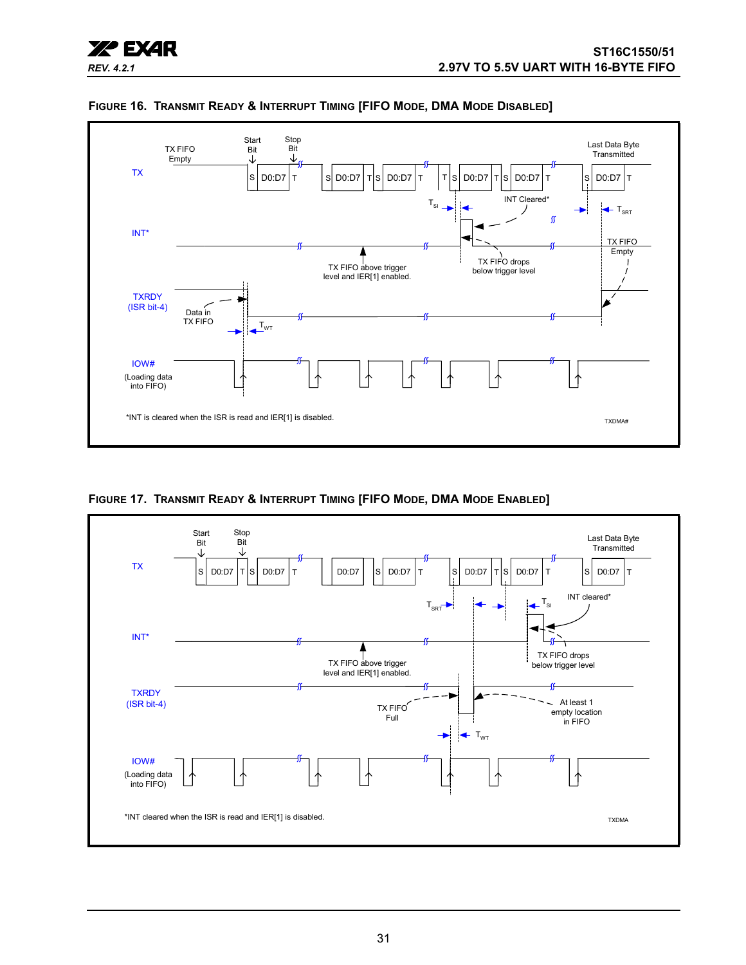



<span id="page-30-0"></span>**FIGURE 16. TRANSMIT READY & INTERRUPT TIMING [FIFO MODE, DMA MODE DISABLED]** 

<span id="page-30-1"></span>**FIGURE 17. TRANSMIT READY & INTERRUPT TIMING [FIFO MODE, DMA MODE ENABLED]** 

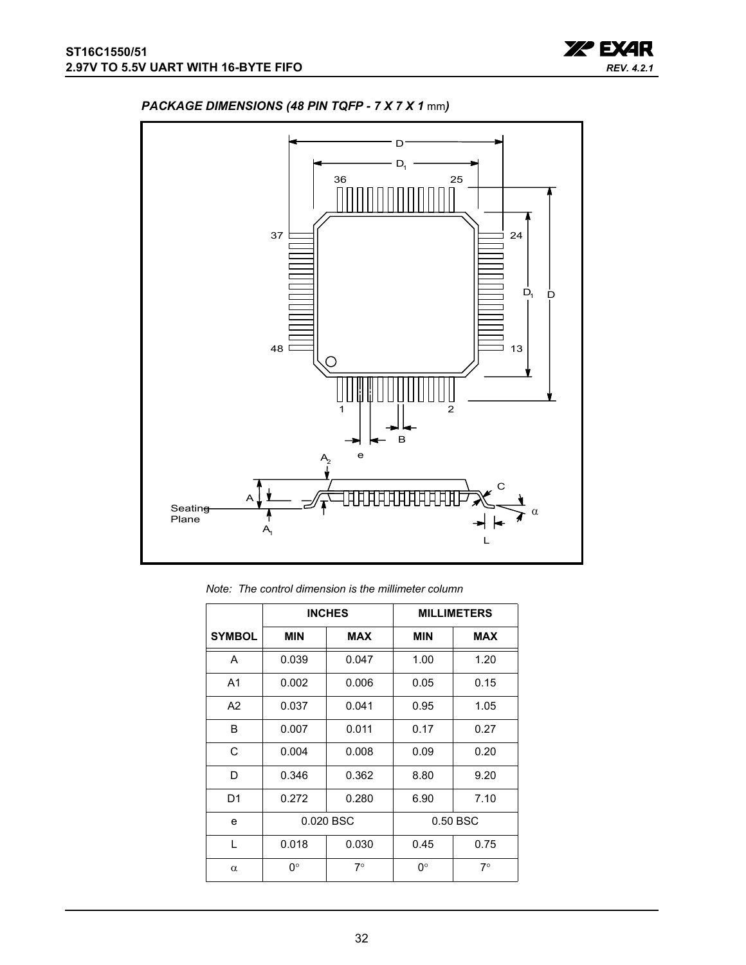



# <span id="page-31-0"></span>*PACKAGE DIMENSIONS (48 PIN TQFP - 7 X 7 X 1* mm*)*

|  |  |  | Note: The control dimension is the millimeter column |  |  |  |
|--|--|--|------------------------------------------------------|--|--|--|
|--|--|--|------------------------------------------------------|--|--|--|

|                |            | <b>INCHES</b> |            | <b>MILLIMETERS</b> |  |
|----------------|------------|---------------|------------|--------------------|--|
| <b>SYMBOL</b>  | <b>MIN</b> | <b>MAX</b>    | <b>MIN</b> | <b>MAX</b>         |  |
| A              | 0.039      | 0.047         | 1.00       | 1.20               |  |
| A <sub>1</sub> | 0.002      | 0.006         | 0.05       | 0.15               |  |
| A2             | 0.037      | 0.041         | 0.95       | 1.05               |  |
| B              | 0.007      | 0.011         | 0.17       | 0.27               |  |
| C              | 0.004      | 0.008         | 0.09       | 0.20               |  |
| D              | 0.346      | 0.362         | 8.80       | 9.20               |  |
| D <sub>1</sub> | 0.272      | 0.280         | 6.90       | 7.10               |  |
| e              | 0.020 BSC  |               |            | 0.50 BSC           |  |
| $\mathbf{L}$   | 0.018      | 0.030         | 0.45       | 0.75               |  |
| $\alpha$       | 0°         | $7^{\circ}$   | 0°         | $7^\circ$          |  |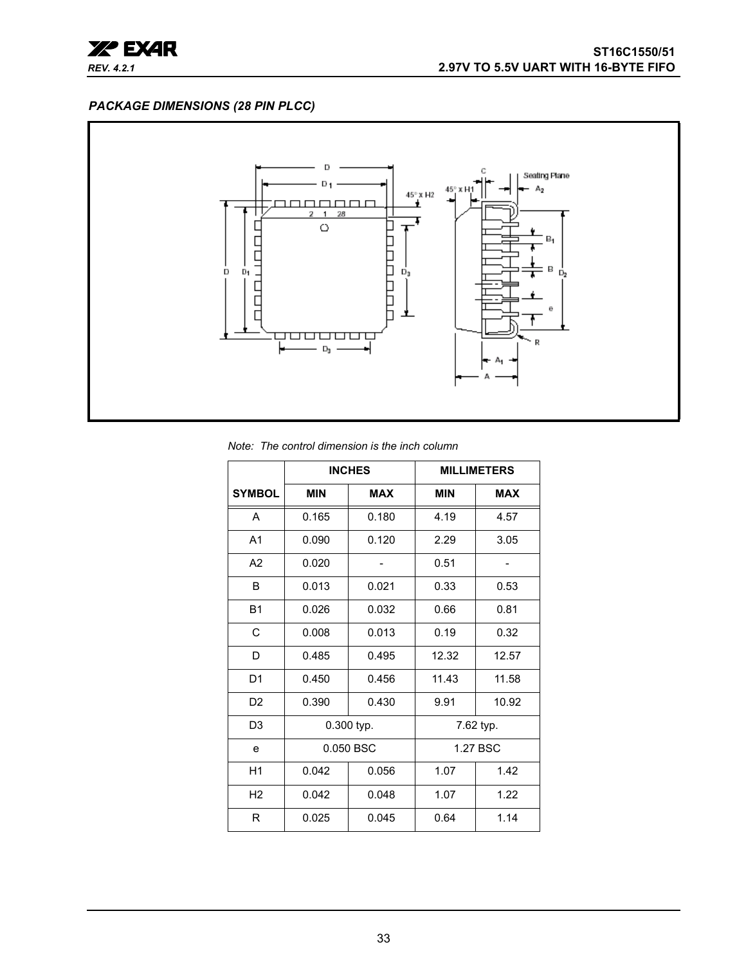

## <span id="page-32-0"></span>*PACKAGE DIMENSIONS (28 PIN PLCC)*



#### *Note: The control dimension is the inch column*

|                |            | <b>INCHES</b> |            | <b>MILLIMETERS</b> |  |
|----------------|------------|---------------|------------|--------------------|--|
| <b>SYMBOL</b>  | <b>MIN</b> | <b>MAX</b>    | <b>MIN</b> | <b>MAX</b>         |  |
| A              | 0.165      | 0.180         | 4.19       | 4.57               |  |
| A <sub>1</sub> | 0.090      | 0.120         | 2.29       | 3.05               |  |
| A2             | 0.020      |               | 0.51       |                    |  |
| B              | 0.013      | 0.021         | 0.33       | 0.53               |  |
| <b>B1</b>      | 0.026      | 0.032         | 0.66       | 0.81               |  |
| C              | 0.008      | 0.013         | 0.19       | 0.32               |  |
| D              | 0.485      | 0.495         | 12.32      | 12.57              |  |
| D <sub>1</sub> | 0.450      | 0.456         | 11.43      | 11.58              |  |
| D <sub>2</sub> | 0.390      | 0.430         | 9.91       | 10.92              |  |
| D3             |            | 0.300 typ.    |            | 7.62 typ.          |  |
| e              | 0.050 BSC  |               |            | 1.27 BSC           |  |
| H1             | 0.042      | 0.056         | 1.07       | 1.42               |  |
| H <sub>2</sub> | 0.042      | 0.048         | 1.07       | 1.22               |  |
| R              | 0.025      | 0.045         | 0.64       | 1.14               |  |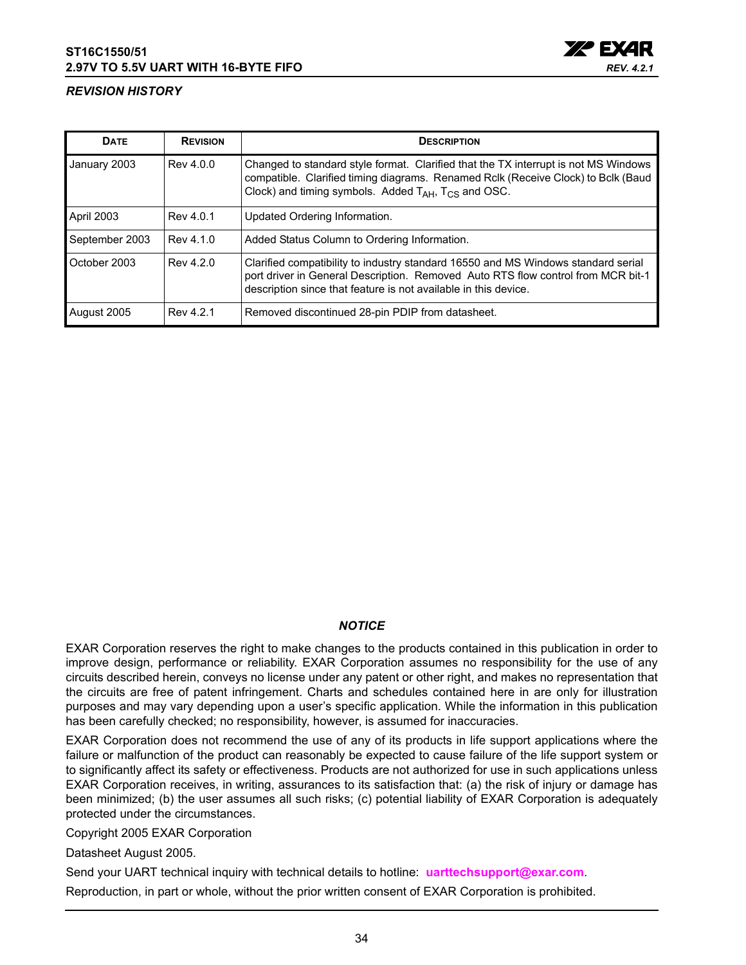

## <span id="page-33-0"></span>*REVISION HISTORY*

| <b>DATE</b>       | <b>REVISION</b> | <b>DESCRIPTION</b>                                                                                                                                                                                                                        |
|-------------------|-----------------|-------------------------------------------------------------------------------------------------------------------------------------------------------------------------------------------------------------------------------------------|
| January 2003      | Rev 4.0.0       | Changed to standard style format. Clarified that the TX interrupt is not MS Windows<br>compatible. Clarified timing diagrams. Renamed Rclk (Receive Clock) to Bclk (Baud<br>Clock) and timing symbols. Added $T_{AH}$ , $T_{CS}$ and OSC. |
| <b>April 2003</b> | Rev 4.0.1       | Updated Ordering Information.                                                                                                                                                                                                             |
| September 2003    | Rev 4.1.0       | Added Status Column to Ordering Information.                                                                                                                                                                                              |
| October 2003      | Rev 4.2.0       | Clarified compatibility to industry standard 16550 and MS Windows standard serial<br>port driver in General Description. Removed Auto RTS flow control from MCR bit-1<br>description since that feature is not available in this device.  |
| August 2005       | Rev 4.2.1       | Removed discontinued 28-pin PDIP from datasheet.                                                                                                                                                                                          |

## *NOTICE*

EXAR Corporation reserves the right to make changes to the products contained in this publication in order to improve design, performance or reliability. EXAR Corporation assumes no responsibility for the use of any circuits described herein, conveys no license under any patent or other right, and makes no representation that the circuits are free of patent infringement. Charts and schedules contained here in are only for illustration purposes and may vary depending upon a user's specific application. While the information in this publication has been carefully checked; no responsibility, however, is assumed for inaccuracies.

EXAR Corporation does not recommend the use of any of its products in life support applications where the failure or malfunction of the product can reasonably be expected to cause failure of the life support system or to significantly affect its safety or effectiveness. Products are not authorized for use in such applications unless EXAR Corporation receives, in writing, assurances to its satisfaction that: (a) the risk of injury or damage has been minimized; (b) the user assumes all such risks; (c) potential liability of EXAR Corporation is adequately protected under the circumstances.

Copyright 2005 EXAR Corporation

Datasheet August 2005.

Send your UART technical inquiry with technical details to hotline: **uarttechsupport@exar.com**.

Reproduction, in part or whole, without the prior written consent of EXAR Corporation is prohibited.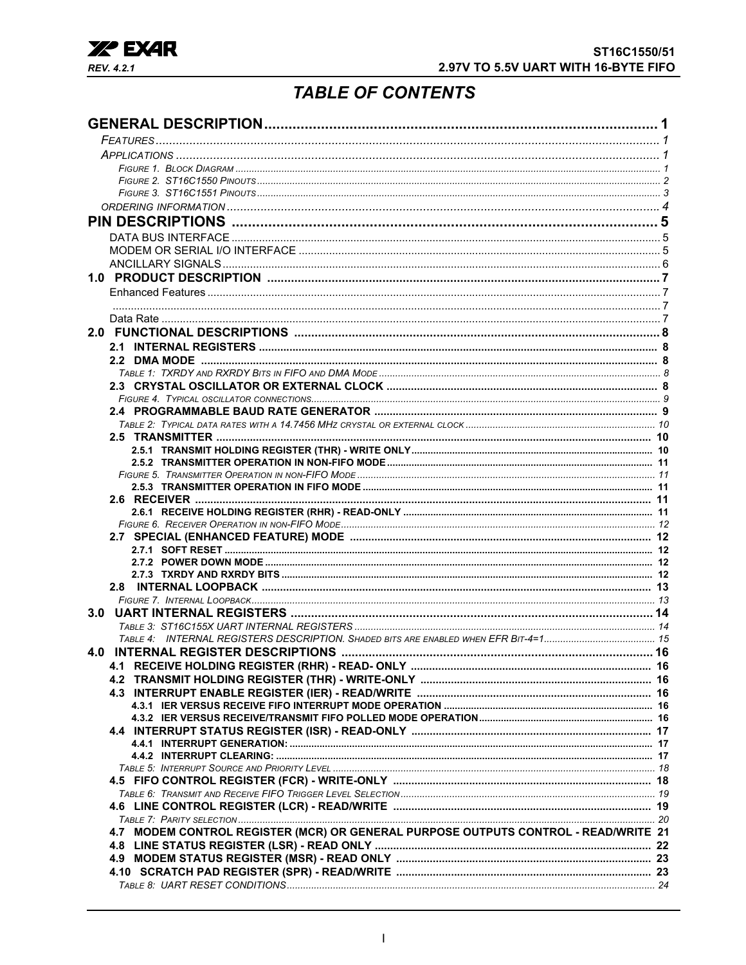

# **TABLE OF CONTENTS**

<span id="page-34-0"></span>

| 2.8<br>3.0<br>4.0<br>4.7 MODEM CONTROL REGISTER (MCR) OR GENERAL PURPOSE OUTPUTS CONTROL - READ/WRITE 21 |  |
|----------------------------------------------------------------------------------------------------------|--|
|                                                                                                          |  |
|                                                                                                          |  |
|                                                                                                          |  |
|                                                                                                          |  |
|                                                                                                          |  |
|                                                                                                          |  |
|                                                                                                          |  |
|                                                                                                          |  |
|                                                                                                          |  |
|                                                                                                          |  |
|                                                                                                          |  |
|                                                                                                          |  |
|                                                                                                          |  |
|                                                                                                          |  |
|                                                                                                          |  |
|                                                                                                          |  |
|                                                                                                          |  |
|                                                                                                          |  |
|                                                                                                          |  |
|                                                                                                          |  |
|                                                                                                          |  |
|                                                                                                          |  |
|                                                                                                          |  |
|                                                                                                          |  |
|                                                                                                          |  |
|                                                                                                          |  |
|                                                                                                          |  |
|                                                                                                          |  |
|                                                                                                          |  |
|                                                                                                          |  |
|                                                                                                          |  |
|                                                                                                          |  |
|                                                                                                          |  |
|                                                                                                          |  |
|                                                                                                          |  |
|                                                                                                          |  |
|                                                                                                          |  |
|                                                                                                          |  |
|                                                                                                          |  |
|                                                                                                          |  |
|                                                                                                          |  |
|                                                                                                          |  |
|                                                                                                          |  |
|                                                                                                          |  |
|                                                                                                          |  |
|                                                                                                          |  |
|                                                                                                          |  |
|                                                                                                          |  |
|                                                                                                          |  |
|                                                                                                          |  |
|                                                                                                          |  |
|                                                                                                          |  |
|                                                                                                          |  |
|                                                                                                          |  |
|                                                                                                          |  |